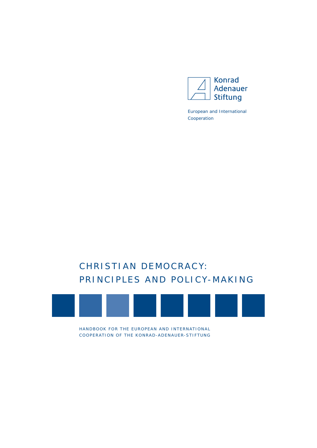

European and International Cooperation

# CHRISTIAN DEMOCRACY: PRINCIPLES AND POLICY-MAKING



HANDBOOK FOR THE EUROPEAN AND INTERNATIONAL COOPERATION OF THE KONRAD-ADENAUER-STIFTUNG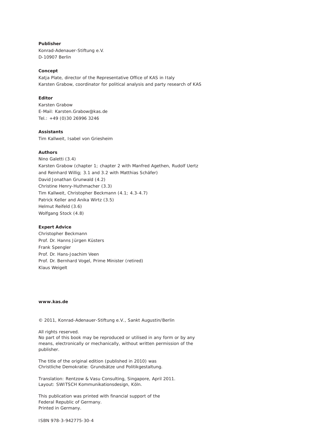**Publisher** Konrad-Adenauer-Stiftung e.V. D-10907 Berlin

#### **Concept**

Katja Plate, director of the Representative Office of KAS in Italy Karsten Grabow, coordinator for political analysis and party research of KAS

### **Editor**

Karsten Grabow E-Mail: Karsten.Grabow@kas.de Tel.: +49 (0)30 26996 3246

# **Assistants**

Tim Kallweit, Isabel von Griesheim

#### **Authors**

Nino Galetti (3.4) Karsten Grabow (chapter 1; chapter 2 with Manfred Agethen, Rudolf Uertz and Reinhard Willig; 3.1 and 3.2 with Matthias Schäfer) David Jonathan Grunwald (4.2) Christine Henry-Huthmacher (3.3) Tim Kallweit, Christopher Beckmann (4.1; 4.3-4.7) Patrick Keller and Anika Wirtz (3.5) Helmut Reifeld (3.6) Wolfgang Stock (4.8)

#### **Expert Advice**

Christopher Beckmann Prof. Dr. Hanns Jürgen Küsters Frank Spengler Prof. Dr. Hans-Joachim Veen Prof. Dr. Bernhard Vogel, Prime Minister (retired) Klaus Weigelt

#### **www.kas.de**

*© 2011, Konrad-Adenauer-Stiftung e.V., Sankt Augustin/Berlin*

*All rights reserved. No part of this book may be reproduced or utilised in any form or by any means, electronically or mechanically, without written permission of the publisher.*

*The title of the original edition (published in 2010) was*  Christliche Demokratie: Grundsätze und Politikgestaltung*.*

*Translation: Rentzow & Vasu Consulting, Singapore, April 2011. Layout: SWITSCH Kommunikationsdesign, Köln.*

*This publication was printed with financial support of the Federal Republic of Germany. Printed in Germany.*

*ISBN 978-3-942775-30-4*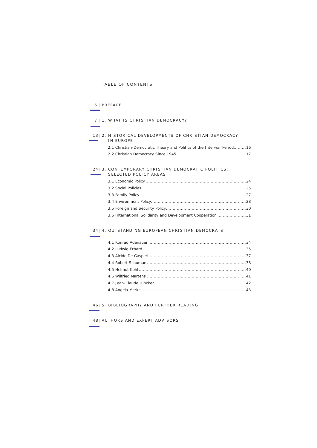# TABLE OF CONTENTS

# 5 | PREFACE

# 7 | 1. WHAT IS CHRISTIAN DEMOCRACY?

#### [13](#page-10-0)| 2. HISTORICAL DEVELOPMENTS OF CHRISTIAN DEMOCRACY in europe 2.1 Christian-Democratic Theory and Politics of the Interwar Period.........16

| 2.1 Christian-Democratic Theory and Politics of the Interwar Period16 |  |
|-----------------------------------------------------------------------|--|
|                                                                       |  |

#### [24|](#page-21-0) 3. CONTEMPORARY CHRISTIAN DEMOCRATIC POLITICS: SELECTED POLICY AREAS

| 3.6 International Solidarity and Development Cooperation 31 |  |
|-------------------------------------------------------------|--|

### [34|](#page-30-0) 4. OUTSTANDING EUROPEAN CHRISTIAN DEMOCRATS

[46|](#page-43-0) 5. BIBLIOGRAPHY AND FURTHER READING

[48|](#page-45-0) authors and expert advisors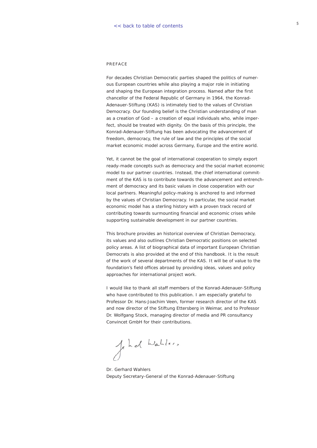#### <span id="page-3-0"></span>Pre face

For decades Christian Democratic parties shaped the politics of numerous European countries while also playing a major role in initiating and shaping the European integration process. Named after the first chancellor of the Federal Republic of Germany in 1964, the Konrad-Adenauer-Stiftung (KAS) is intimately tied to the values of Christian Democracy. Our founding belief is the Christian understanding of man as a creation of God – a creation of equal individuals who, while imperfect, should be treated with dignity. On the basis of this principle, the Konrad-Adenauer-Stiftung has been advocating the advancement of freedom, democracy, the rule of law and the principles of the social market economic model across Germany, Europe and the entire world.

Yet, it cannot be the goal of international cooperation to simply export ready-made concepts such as democracy and the social market economic model to our partner countries. Instead, the chief international commitment of the KAS is to contribute towards the advancement and entrenchment of democracy and its basic values in close cooperation with our local partners. Meaningful policy-making is anchored to and informed by the values of Christian Democracy. In particular, the social market economic model has a sterling history with a proven track record of contributing towards surmounting financial and economic crises while supporting sustainable development in our partner countries.

This brochure provides an historical overview of Christian Democracy, its values and also outlines Christian Democratic positions on selected policy areas. A list of biographical data of important European Christian Democrats is also provided at the end of this handbook. It is the result of the work of several departments of the KAS. It will be of value to the foundation's field offices abroad by providing ideas, values and policy approaches for international project work.

I would like to thank all staff members of the Konrad-Adenauer-Stiftung who have contributed to this publication. I am especially grateful to Professor Dr. Hans-Joachim Veen, former research director of the KAS and now director of the Stiftung Ettersberg in Weimar, and to Professor Dr. Wolfgang Stock, managing director of media and PR consultancy Convincet GmbH for their contributions.

Johal Wables,

*Dr. Gerhard Wahlers Deputy Secretary-General of the Konrad-Adenauer-Stiftung*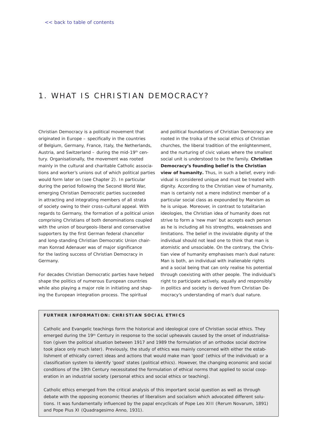# <span id="page-4-0"></span>1. WHAT IS CHRISTIAN DEMOCRACY?

Christian Democracy is a political movement that originated in Europe – specifically in the countries of Belgium, Germany, France, Italy, the Netherlands, Austria, and Switzerland – during the mid-19<sup>th</sup> century. Organisationally, the movement was rooted mainly in the cultural and charitable Catholic associations and worker's unions out of which political parties would form later on (see Chapter 2). In particular during the period following the Second World War, emerging Christian Democratic parties succeeded in attracting and integrating members of all strata of society owing to their cross-cultural appeal. With regards to Germany, the formation of a political union comprising Christians of both denominations coupled with the union of bourgeois-liberal and conservative supporters by the first German federal chancellor and long-standing Christian Democratic Union chairman Konrad Adenauer was of major significance for the lasting success of Christian Democracy in Germany.

For decades Christian Democratic parties have helped shape the politics of numerous European countries while also playing a major role in initiating and shaping the European integration process. The spiritual

and political foundations of Christian Democracy are rooted in the troika of the social ethics of Christian churches, the liberal tradition of the enlightenment, and the nurturing of civic values where the smallest social unit is understood to be the family. *Christian Democracy's founding belief is the Christian view of humanity***.** Thus, in such a belief, every individual is considered unique and must be treated with dignity. According to the Christian view of humanity, man is certainly not a mere indistinct member of a particular social class as expounded by Marxism as he is unique. Moreover, in contrast to totalitarian ideologies, the Christian idea of humanity does not strive to form a 'new man' but accepts each person as he is including all his strengths, weaknesses and limitations. The belief in the inviolable dignity of the individual should not lead one to think that man is atomistic and unsociable. On the contrary, the Christian view of humanity emphasises man's dual nature: Man is both, an individual with inalienable rights *and* a social being that can only realise his potential through coexisting with other people. The individual's right to participate actively, equally and responsibly in politics and society is derived from Christian Democracy's understanding of man's dual nature.

#### **FURTHER INFORMATION: CHRISTIAN SOCIAL ETHICS**

Catholic and Evangelic teachings form the historical and ideological core of Christian social ethics. They emerged during the 19<sup>th</sup> Century in response to the social upheavals caused by the onset of industrialisation (given the political situation between 1917 and 1989 the formulation of an orthodox social doctrine took place only much later). Previously, the study of ethics was mainly concerned with either the establishment of ethically correct ideas and actions that would make man 'good' (ethics of the individual) or a classification system to identify 'good' states (political ethics). However, the changing economic and social conditions of the 19th Century necessitated the formulation of ethical norms that applied to social cooperation in an industrial society (personal ethics and social ethics or teaching).

Catholic ethics emerged from the critical analysis of this important social question as well as through debate with the opposing economic theories of liberalism and socialism which advocated different solutions. It was fundamentally influenced by the papal encyclicals of Pope Leo XIII (*Rerum Novarum*, 1891) and Pope Pius XI (*Quadragesimo Anno*, 1931).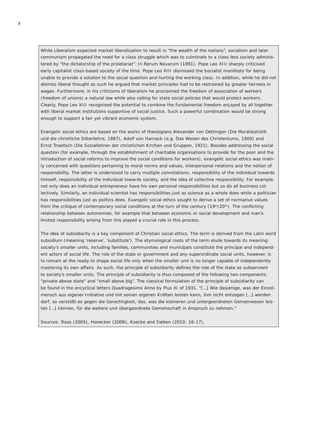While Liberalism expected market liberalisation to result in "the wealth of the nations", socialism and later communism propagated the need for a class struggle which was to culminate to a class-less society administered by "the dictatorship of the proletariat". In *Rerum Novarum* (1891), Pope Leo XIII sharply criticised early capitalist class-based society of the time. Pope Leo XIII dismissed the Socialist manifesto for being unable to provide a solution to the social question and hurting the working class. In addition, while he did not dismiss liberal thought as such he argued that market principles had to be restrained by greater fairness in wages. Furthermore, in his criticisms of liberalism he proclaimed the freedom of association of workers (freedom of unions) a natural law while also calling for state social policies that would protect workers. Clearly, Pope Leo XIII recognised the potential to combine the fundamental freedom enjoyed by all together with liberal market institutions supportive of social justice. Such a powerful combination would be strong enough to support a fair yet vibrant economic system.

Evangelic social ethics are based on the works of theologians Alexander von Oettingen (*Die Moralstatistik und die christliche Sittenlehre*, 1867), Adolf von Harnack (e.g. *Das Wesen des Christentums*, 1900) and Ernst Troeltsch (*Die Soziallehren der christlichen Kirchen und Gruppen*, 1921). Besides addressing the social question (for example, through the establishment of charitable organisations to provide for the poor and the introduction of social reforms to improve the social conditions for workers), evangelic social ethics was mainly concerned with questions pertaining to moral norms and values, interpersonal relations and the notion of responsibility. The latter is understood to carry multiple connotations; responsibility of the individual towards himself, responsibility of the individual towards society, and the idea of collective responsibility. For example, not only does an individual entrepreneur have his own personal responsibilities but so do all business collectively. Similarly, an individual scientist has responsibilities just as science as a whole does while a politician has responsibilities just as politics does. Evangelic social ethics sought to derive a set of normative values from the critique of contemporary social conditions at the turn of the century (19th/20th). The conflicting relationship between autonomies, for example that between economic or social development and man's limited responsibility arising from this played a crucial role in this process.

The idea of subsidiarity is a key component of Christian social ethics. The term is derived from the Latin word *subsidium* (meaning 'reserve', 'substitute'). The etymological roots of the term elude towards its meaning: society's smaller units, including families, communities and municipals constitute the principal and independent actors of social life. The role of the state or government and any superordinate social units, however, is to remain at the ready to shape social life only when the smaller unit is no longer capable of independently mastering its own affairs. As such, the principle of subsidiarity defines the role of the state as subservient to society's smaller units. The principle of subsidiarity is thus composed of the following two components; "private above state" and "small above big". The classical formulation of the principle of subsidiarity can be found in the encyclical letters *Quadragesimo Anno* by Pius XI of 1931. "*[…] Wie dasjenige, was der Einzelmensch aus eigener Initiative und mit seinen eigenen Kräften leisten kann, ihm nicht entzogen […] werden darf, so verstößt es gegen die Gerechtigkeit, das, was die kleineren und untergeordneten Gemeinwesen leisten […] können, für die weitere und übergeordnete Gemeinschaft in Anspruch zu nehmen.*"

*Sources: Roos (2005), Honecker (2006), Koecke and Sieben (2010: 16-17).*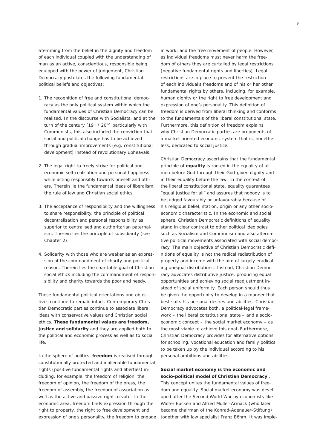Stemming from the belief in the dignity and freedom of each individual coupled with the understanding of man as an active, conscientious, responsible being equipped with the power of judgement, Christian Democracy postulates the following fundamental political beliefs and objectives:

- 1. The recognition of free and constitutional democracy as the only political system within which the fundamental values of Christian Democracy can be realised. In the discourse with Socialists, and at the turn of the century (19th / 20th) particularly with Communists, this also included the conviction that social and political change has to be achieved through gradual improvements (e.g. constitutional development) instead of revolutionary upheavals.
- 2. The legal right to freely strive for political and economic self-realisation and personal happiness while acting responsibly towards oneself and others. Therein lie the fundamental ideas of liberalism, the rule of law and Christian social ethics.
- 3. The acceptance of responsibility and the willingness to share responsibility, the principle of political decentralisation and personal responsibility as superior to centralised and authoritarian paternalism. Therein lies the principle of subsidiarity (see Chapter 2).
- 4. Solidarity with those who are weaker as an expression of the commandment of charity and political reason. Therein lies the charitable goal of Christian social ethics including the commandment of responsibility and charity towards the poor and needy.

These fundamental political orientations and objectives continue to remain intact. Contemporary Christian Democratic parties continue to associate liberal ideas with conservative values and Christian social ethics. *These fundamental values are freedom, justice and solidarity* and they are applied both to the political and economic process as well as to social life.

In the sphere of politics, *freedom* is realised through constitutionally protected and inalienable fundamental rights (positive fundamental rights and liberties) including, for example, the freedom of religion, the freedom of opinion, the freedom of the press, the freedom of assembly, the freedom of association as well as the active and passive right to vote. In the economic area, freedom finds expression through the right to property, the right to free development and expression of one's personality, the freedom to engage in work, and the free movement of people. However, as individual freedoms must never harm the freedom of others they are curtailed by legal restrictions (negative fundamental rights and liberties). Legal restrictions are in place to prevent the restriction of each individual's freedoms and of his or her other fundamental rights by others, including, for example, human dignity or the right to free development and expression of one's personality. This definition of freedom is derived from liberal thinking and conforms to the fundamentals of the liberal constitutional state. Furthermore, this definition of freedom explains why Christian Democratic parties are proponents of a market oriented economic system that is, nonetheless, dedicated to social justice.

Christian Democracy ascertains that the fundamental principle of *equality* is rooted in the equality of all men before God through their God-given dignity and in their equality before the law. In the context of the liberal constitutional state, equality guarantees "equal justice for all" and assures that nobody is to be judged favourably or unfavourably because of his religious belief, station, origin or any other socioeconomic characteristic. In the economic and social sphere, Christian Democratic definitions of equality stand in clear contrast to other political ideologies such as Socialism and Communism and also alternative political movements associated with social democracy. The main objective of Christian Democratic definitions of equality is not the radical redistribution of property and income with the aim of largely eradicating unequal distributions. Instead, Christian Democracy advocates distributive justice, producing equal opportunities and achieving social readjustment instead of social uniformity. Each person should thus be given the opportunity to develop in a manner that best suits his personal desires and abilities. Christian Democracy advocates both, a political-legal framework – the liberal constitutional state – and a socioeconomic concept – the social market economy – as the most viable to achieve this goal. Furthermore, Christian Democracy provides for alternative options for schooling, vocational education and family politics to be taken up by the individual according to his personal ambitions and abilities.

# *Social market economy is the economic and socio-political model of Christian Democracy*1.

This concept unites the fundamental values of freedom and equality. Social market economy was developed after the Second World War by economists like Walter Eucken and Alfred Müller-Armack (who later became chairman of the Konrad-Adenauer-Stiftung) together with law specialist Franz Böhm. It was imple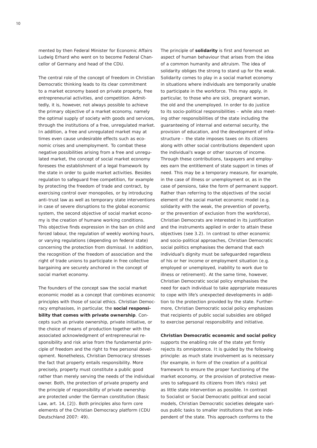mented by then Federal Minister for Economic Affairs Ludwig Erhard who went on to become Federal Chancellor of Germany and head of the CDU.

The central role of the concept of freedom in Christian Democratic thinking leads to its clear commitment to a market economy based on private property, free entrepreneurial activities, and competition. Admittedly, it is, however, not always possible to achieve the primary objective of a market economy, namely the optimal supply of society with goods and services, through the institutions of a free, unregulated market. In addition, a free and unregulated market may at times even cause undesirable effects such as economic crises and unemployment. To combat these negative possibilities arising from a free and unregulated market, the concept of social market economy foresees the establishment of a legal framework by the state in order to guide market activities. Besides regulation to safeguard free competition, for example by protecting the freedom of trade and contract, by exercising control over monopolies, or by introducing anti-trust law as well as temporary state interventions in case of severe disruptions to the global economic system, the second objective of social market economy is the creation of humane working conditions. This objective finds expression in the ban on child and forced labour, the regulation of weekly working hours, or varying regulations (depending on federal state) concerning the protection from dismissal. In addition, the recognition of the freedom of association and the right of trade unions to participate in free collective bargaining are securely anchored in the concept of social market economy.

The founders of the concept saw the social market economic model as a concept that combines economic principles with those of social ethics. Christian Democracy emphasises, in particular, the *social responsibility that comes with private ownership*. Concepts such as private ownership, private initiative, or the choice of means of production together with the associated acknowledgment of entrepreneurial responsibility and risk arise from the fundamental principle of freedom and the right to free personal development. Nonetheless, Christian Democracy stresses the fact that property entails responsibility. More precisely, property must constitute a public good rather than merely serving the needs of the individual owner. Both, the protection of private property and the principle of responsibility of private ownership are protected under the German constitution (Basic Law, art. 14, [2]). Both principles also form core elements of the Christian Democracy platform (CDU Deutschland 2007: 49).

The principle of *solidarity* is first and foremost an aspect of human behaviour that arises from the idea of a common humanity and altruism. The idea of solidarity obliges the strong to stand up for the weak. Solidarity comes to play in a social market economy in situations where individuals are temporarily unable to participate in the workforce. This may apply, in particular, to those who are sick, pregnant woman, the old and the unemployed. In order to do justice to its socio-political responsibilities – while also meeting other responsibilities of the state including the guaranteeing of internal and external security, the provision of education, and the development of infrastructure – the state imposes taxes on its citizens along with other social contributions dependent upon the individual's wage or other sources of income. Through these contributions, taxpayers and employees earn the entitlement of state support in times of need. This may be a temporary measure, for example, in the case of illness or unemployment or, as in the case of pensions, take the form of permanent support. Rather than referring to the objectives of the social element of the social market economic model (e.g. solidarity with the weak, the prevention of poverty, or the prevention of exclusion from the workforce), Christian Democrats are interested in its justification and the instruments applied in order to attain these objectives (see 3.2). In contrast to other economic and socio-political approaches, Christian Democratic social politics emphasises the demand that each individual's dignity must be safeguarded regardless of his or her income or employment situation (e.g. employed or unemployed, inability to work due to illness or retirement). At the same time, however, Christian Democratic social policy emphasises the need for each individual to take appropriate measures to cope with life's unexpected developments in addition to the protection provided by the state. Furthermore, Christian Democratic social policy emphasizes that recipients of public social subsidies are obliged to exercise personal responsibility and initiative.

#### *Christian Democratic economic and social policy*

supports the enabling role of the state yet firmly rejects its omnipotence. It is guided by the following principle: as much state involvement as is necessary (for example, in form of the creation of a political framework to ensure the proper functioning of the market economy, or the provision of protective measures to safeguard its citizens from life's risks) yet as little state intervention as possible. In contrast to Socialist or Social Democratic political and social models, Christian Democratic societies delegate various public tasks to smaller institutions that are independent of the state. This approach conforms to the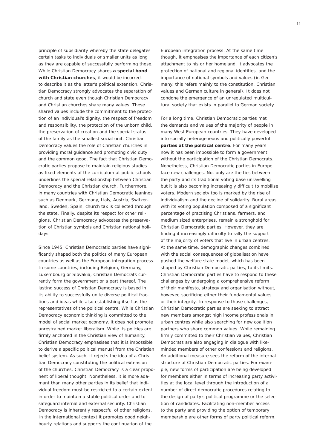principle of subsidiarity whereby the state delegates certain tasks to individuals or smaller units as long as they are capable of successfully performing those. While Christian Democracy shares *a special bond with Christian churches*, it would be incorrect to describe it as the latter's political extension. Christian Democracy strongly advocates the separation of church and state even though Christian Democracy and Christian churches share many values. These shared values include the commitment to the protection of an individual's dignity, the respect of freedom and responsibility, the protection of the unborn child, the preservation of creation and the special status of the family as the smallest social unit. Christian Democracy values the role of Christian churches in providing moral guidance and promoting civic duty and the common good. The fact that Christian Democratic parties propose to maintain religious studies as fixed elements of the curriculum at public schools underlines the special relationship between Christian Democracy and the Christian church. Furthermore, in many countries with Christian Democratic leanings such as Denmark, Germany, Italy, Austria, Switzerland, Sweden, Spain, church tax is collected through the state. Finally, despite its respect for other religions, Christian Democracy advocates the preservation of Christian symbols and Christian national holidays.

Since 1945, Christian Democratic parties have significantly shaped both the politics of many European countries as well as the European integration process. In some countries, including Belgium, Germany, Luxembourg or Slovakia, Christian Democrats currently form the government or a part thereof. The lasting success of Christian Democracy is based in its ability to successfully unite diverse political fractions and ideas while also establishing itself as the representatives of the political centre. While Christian Democracy economic thinking is committed to the model of social market economy, it does not promote unrestrained market liberalism. While its policies are firmly anchored in the Christian view of humanity, Christian Democracy emphasises that it is impossible to derive a specific political manual from the Christian belief system. As such, it rejects the idea of a Christian Democracy constituting the political extension of the churches. Christian Democracy is a clear proponent of liberal thought. Nonetheless, it is more adamant than many other parties in its belief that individual freedom must be restricted to a certain extent in order to maintain a stable political order and to safeguard internal and external security. Christian Democracy is inherently respectful of other religions. In the international context it promotes good neighbourly relations and supports the continuation of the

European integration process. At the same time though, it emphasises the importance of each citizen's attachment to his or her homeland, it advocates the protection of national and regional identities, and the importance of national symbols and values (in Germany, this refers mainly to the constitution, Christian values and German culture in general). It does not condone the emergence of an unregulated multicultural society that exists in parallel to German society.

For a long time, Christian Democratic parties met the demands and values of the majority of people in many West European countries. They have developed into socially heterogeneous and politically powerful *parties at the political centre*. For many years now it has been impossible to form a government without the participation of the Christian Democrats. Nonetheless, Christian Democratic parties in Europe face new challenges. Not only are the ties between the party and its traditional voting base unravelling but it is also becoming increasingly difficult to mobilise voters. Modern society too is marked by the rise of individualism and the decline of solidarity. Rural areas, with its voting population composed of a significant percentage of practising Christians, farmers, and medium sized enterprises, remain a stronghold for Christian Democratic parties. However, they are finding it increasingly difficulty to rally the support of the majority of voters that live in urban centres. At the same time, demographic changes combined with the social consequences of globalisation have pushed the welfare state model, which has been shaped by Christian Democratic parties, to its limits. Christian Democratic parties have to respond to these challenges by undergoing a comprehensive reform of their manifesto, strategy and organisation without, however, sacrificing either their fundamental values or their integrity. In response to those challenges, Christian Democratic parties are seeking to attract new members amongst high income professionals in urban centres while also searching for new coalition partners who share common values. While remaining firmly committed to their Christian values, Christian Democrats are also engaging in dialogue with likeminded members of other confessions and religions. An additional measure sees the reform of the internal structure of Christian Democratic parties. For example, new forms of participation are being developed for members either in terms of increasing party activities at the local level through the introduction of a number of direct democratic procedures relating to the design of party's political programme or the selection of candidates. Facilitating non-member access to the party and providing the option of temporary membership are other forms of party political reform.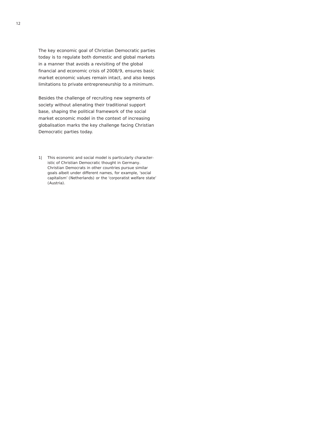The key economic goal of Christian Democratic parties today is to regulate both domestic and global markets in a manner that avoids a revisiting of the global financial and economic crisis of 2008/9, ensures basic market economic values remain intact, and also keeps limitations to private entrepreneurship to a minimum.

Besides the challenge of recruiting new segments of society without alienating their traditional support base, shaping the political framework of the social market economic model in the context of increasing globalisation marks the key challenge facing Christian Democratic parties today.

*This economic and social model is particularly character-1|istic of Christian Democratic thought in Germany. Christian Democrats in other countries pursue similar goals albeit under different names, for example, 'social capitalism' (Netherlands) or the 'corporatist welfare state' (Austria).*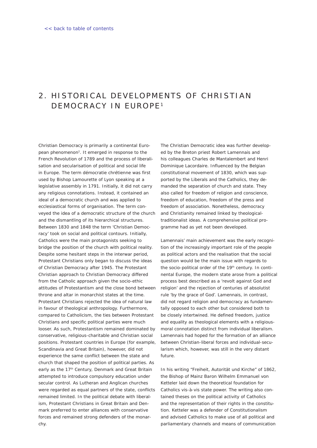# <span id="page-10-0"></span>2. HISTORICAL DEVELOPMENTS OF CHRISTIAN DEMOCRACY IN EUROPE<sup>1</sup>

Christian Democracy is primarily a continental European phenomenon2. It emerged in response to the French Revolution of 1789 and the process of liberalisation and secularisation of political and social life in Europe. The term *démocratie chrétienne* was first used by Bishop Lamourette of Lyon speaking at a legislative assembly in 1791. Initially, it did not carry any religious connotations. Instead, it contained an ideal of a democratic church and was applied to ecclesiastical forms of organisation. The term conveyed the idea of a democratic structure of the church and the dismantling of its hierarchical structures. Between 1830 and 1848 the term 'Christian Democracy' took on social and political contours. Initially, Catholics were the main protagonists seeking to bridge the position of the church with political reality. Despite some hesitant steps in the interwar period, Protestant Christians only began to discuss the ideas of Christian Democracy after 1945. The Protestant Christian approach to Christian Democracy differed from the Catholic approach given the socio-ethic attitudes of Protestantism and the close bond between throne and altar in monarchist states at the time. Protestant Christians rejected the idea of natural law in favour of theological anthropology. Furthermore, compared to Catholicism, the ties between Protestant Christians and specific political parties were much looser. As such, Protestantism remained dominated by conservative, religious-charitable and Christian social positions. Protestant countries in Europe (for example, Scandinavia and Great Britain), however, did not experience the same conflict between the state and church that shaped the position of political parties. As early as the 17<sup>th</sup> Century, Denmark and Great Britain attempted to introduce compulsory education under secular control. As Lutheran and Anglican churches were regarded as equal partners of the state, conflicts remained limited. In the political debate with liberalism, Protestant Christians in Great Britain and Denmark preferred to enter alliances with conservative forces and remained strong defenders of the monarThe Christian Democratic idea was further developed by the Breton priest Robert Lamennais and his colleagues Charles de Mantalembert and Henri Dominique Lacordaire. Influenced by the Belgian constitutional movement of 1830, which was supported by the Liberals and the Catholics, they demanded the separation of church and state. They also called for freedom of religion and conscience, freedom of education, freedom of the press and freedom of association. Nonetheless, democracy and Christianity remained linked by theologicaltraditionalist ideas. A comprehensive political programme had as yet not been developed.

Lamennais' main achievement was the early recognition of the increasingly important role of the people as political actors and the realisation that the social question would be the main issue with regards to the socio-political order of the 19<sup>th</sup> century. In continental Europe, the modern state arose from a political process best described as a 'revolt against God and religion' and the rejection of centuries of absolutist rule 'by the grace of God'. Lamennais, in contrast, did not regard religion and democracy as fundamentally opposed to each other but considered both to be closely intertwined. He defined freedom, justice and equality as theological elements with a religiousmoral connotation distinct from individual liberalism. Lamennais had hoped for the formation of an alliance between Christian-liberal forces and individual-secularism which, however, was still in the very distant future.

In his writing "Freiheit, Autorität und Kirche" of 1862, the Bishop of Mainz Baron Wilhelm Emmanuel von Ketteler laid down the theoretical foundation for Catholics vis-à-vis state power. The writing also contained theses on the political activity of Catholics and the representation of their rights in the constitution. Ketteler was a defender of Constitutionalism and advised Catholics to make use of all political and parliamentary channels and means of communication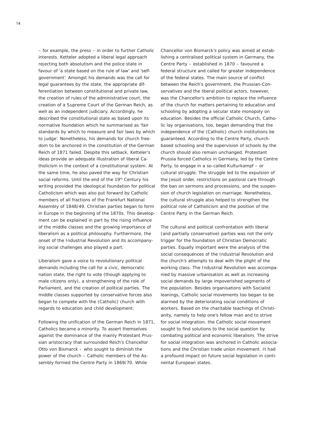– for example, the press – in order to further Catholic interests. Ketteler adopted a liberal legal approach rejecting both absolutism and the police state in favour of 'a state based on the rule of law' and 'selfgovernment'. Amongst his demands was the call for legal guarantees by the state, the appropriate differentiation between constitutional and private law, the creation of rules of the administrative court, the creation of a Supreme Court of the German Reich, as well as an independent judiciary. Accordingly, he described the constitutional state as based upon its normative foundation which he summarised as 'fair standards by which to measure and fair laws by which to judge'. Nonetheless, his demands for church freedom to be anchored in the constitution of the German Reich of 1871 failed. Despite this setback, Ketteler's ideas provide an adequate illustration of liberal Catholicism in the context of a constitutional system. At the same time, he also paved the way for Christian social reforms. Until the end of the 19<sup>th</sup> Century his writing provided the ideological foundation for political Catholicism which was also put forward by Catholic members of all fractions of the Frankfurt National Assembly of 1848/49. Christian parties began to form in Europe in the beginning of the 1870s. This development can be explained in part by the rising influence of the middle classes and the growing importance of liberalism as a political philosophy. Furthermore, the onset of the Industrial Revolution and its accompanying social challenges also played a part.

Liberalism gave a voice to revolutionary political demands including the call for a civic, democratic nation state, the right to vote (though applying to male citizens only), a strengthening of the role of Parliament, and the creation of political parties. The middle classes supported by conservative forces also began to compete with the (Catholic) church with regards to education and child development.

Following the unification of the German Reich in 1871, Catholics became a minority. To assert themselves against the dominance of the mainly Protestant Prussian aristocracy that surrounded Reich's Chancellor Otto von Bismarck – who sought to diminish the power of the church – Catholic members of the Assembly formed the Centre Party in 1869/70. While

Chancellor von Bismarck's policy was aimed at establishing a centralised political system in Germany, the Centre Party – established in 1870 – favoured a federal structure and called for greater independence of the federal states. The main source of conflict between the Reich's government, the Prussian-Conservatives and the liberal political actors, however, was the Chancellor's ambition to replace the influence of the church for matters pertaining to education and schooling by adopting a secular state monopoly on education. Besides the official Catholic Church, Catholic lay organisations, too, began demanding that the independence of the (Catholic) church institutions be guaranteed. According to the Centre Party, churchbased schooling and the supervision of schools by the church should also remain unchanged. Protestant Prussia forced Catholics in Germany, led by the Centre Party, to engage in a so-called *Kulturkampf* – or cultural struggle. The struggle led to the expulsion of the Jesuit order, restrictions on pastoral care through the ban on sermons and processions, and the suspension of church legislation on marriage. Nonetheless, the cultural struggle also helped to strengthen the political role of Catholicism and the position of the Centre Party in the German Reich.

The cultural and political confrontation with liberal (and partially conservative) parties was not the only trigger for the foundation of Christian Democratic parties. Equally important were the analysis of the social consequences of the Industrial Revolution and the church's attempts to deal with the plight of the working class. The Industrial Revolution was accompanied by massive urbanisation as well as increasing social demands by large impoverished segments of the population. Besides organisations with Socialist leanings, Catholic social movements too began to be alarmed by the deteriorating social conditions of workers. Based on the charitable teachings of Christianity, namely to help one's fellow man and to strive for social integration, the Catholic social movement sought to find solutions to the social question by combating political and economic liberalism. The strive for social integration was anchored in Catholic associations and the Christian trade union movement. It had a profound impact on future social legislation in continental European states.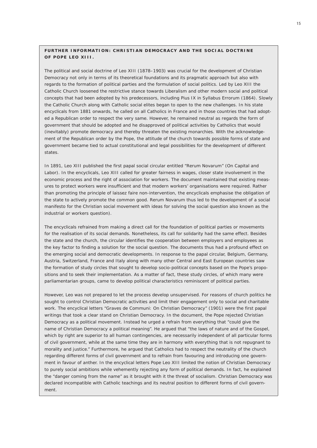# **Further information : Christian Democracy and the social doctrine of Pope Leo X I I I .**

The political and social doctrine of Leo XIII (1878–1903) was crucial for the development of Christian Democracy not only in terms of its theoretical foundations and its pragmatic approach but also with regards to the formation of political parties and the formulation of social politics. Led by Leo XIII the Catholic Church loosened the restrictive stance towards Liberalism and other modern social and political concepts that had been adopted by his predecessors, including Pius IX in *Syllabus Errorum* (1864). Slowly the Catholic Church along with Catholic social elites began to open to the new challenges. In his state encyclicals from 1881 onwards, he called on all Catholics in France and in those countries that had adopted a Republican order to respect the very same. However, he remained neutral as regards the form of government that should be adopted and he disapproved of political activities by Catholics that would (inevitably) promote democracy and thereby threaten the existing monarchies. With the acknowledgement of the Republican order by the Pope, the attitude of the church towards possible forms of state and government became tied to actual constitutional and legal possibilities for the development of different states.

In 1891, Leo XIII published the first papal social circular entitled "*Rerum Novarum" (On Capital and Labor).* In the encyclicals, Leo XIII called for greater fairness in wages, closer state involvement in the economic process and the right of association for workers. The document maintained that existing measures to protect workers were insufficient and that modern workers' organisations were required. Rather than promoting the principle of laissez faire non-intervention, the encyclicals emphasise the obligation of the state to actively promote the common good. *Rerum Novarum* thus led to the development of a social manifesto for the Christian social movement with ideas for solving the social question also known as the industrial or workers question).

The encyclicals refrained from making a direct call for the foundation of political parties or movements for the realisation of its social demands. Nonetheless, its call for solidarity had the same effect. Besides the state and the church, the circular identifies the cooperation between employers and employees as the key factor to finding a solution for the social question. The documents thus had a profound effect on the emerging social and democratic developments. In response to the papal circular, Belgium, Germany, Austria, Switzerland, France and Italy along with many other Central and East European countries saw the formation of study circles that sought to develop socio-political concepts based on the Pope's propositions and to seek their implementation. As a matter of fact, these study circles, of which many were parliamentarian groups, came to develop political characteristics reminiscent of political parties.

However, Leo was not prepared to let the process develop unsupervised. For reasons of church politics he sought to control Christian Democratic activities and limit their engagement only to social and charitable work. The encyclical letters "*Graves de Communi: On Christian Democracy*" (1901) were the first papal writings that took a clear stand on Christian Democracy. In the document, the Pope rejected Christian Democracy as a political movement. Instead he urged a refrain from everything that "could give the name of Christian Democracy a political meaning". He argued that "the laws of nature and of the Gospel, which by right are superior to all human contingencies, are necessarily independent of all particular forms of civil government, while at the same time they are in harmony with everything that is not repugnant to morality and justice." Furthermore, he argued that Catholics had to respect the neutrality of the church regarding different forms of civil government and to refrain from favouring and introducing one government in favour of anther. In the encyclical letters Pope Leo XIII limited the notion of Christian Democracy to purely social ambitions while vehemently rejecting any form of political demands. In fact, he explained the "danger coming from the name" as it brought with it the threat of socialism. Christian Democracy was declared incompatible with Catholic teachings and its neutral position to different forms of civil government.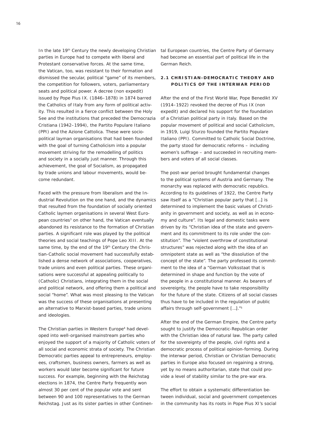In the late 19<sup>th</sup> Century the newly developing Christian tal European countries, the Centre Party of Germany parties in Europe had to compete with liberal and Protestant conservative forces. At the same time, the Vatican, too, was resistant to their formation and dismissed the secular, political "game" of its members, the competition for followers, voters, parliamentary seats and political power. A decree (*non expedit*) issued by Pope Pius IX. (1846–1878) in 1874 barred the Catholics of Italy from any form of political activity. This resulted in a fierce conflict between the Holy See and the institutions that preceded the *Democrazia Cristiana* (1942–1994), the *Partito Populare Italiano* (PPI) and the *Azione Cattolica*. These were sociopolitical layman organisations that had been founded with the goal of turning Catholicism into a popular movement striving for the remodelling of politics and society in a socially just manner. Through this achievement, the goal of Socialism, as propagated by trade unions and labour movements, would become redundant.

Faced with the pressure from liberalism and the Industrial Revolution on the one hand, and the dynamics that resulted from the foundation of socially oriented Catholic laymen organisations in several West European countries<sup>3</sup> on other hand, the Vatican eventually abandoned its resistance to the formation of Christian parties. A significant role was played by the political theories and social teachings of Pope Leo XIII. At the same time, by the end of the 19<sup>th</sup> Century the Christian-Catholic social movement had successfully established a dense network of associations, cooperatives, trade unions and even political parties. These organisations were successful at appealing politically to (Catholic) Christians, integrating them in the social and political network, and offering them a political and social "home". What was most pleasing to the Vatican was the success of these organisations at presenting an alternative to Marxist-based parties, trade unions and ideologies.

The Christian parties in Western Europe<sup>4</sup> had developed into well-organised mainstream parties who enjoyed the support of a majority of Catholic voters of all social and economic strata of society. The Christian Democratic parties appeal to entrepreneurs, employees, craftsmen, business owners, farmers as well as workers would later become significant for future success. For example, beginning with the Reichstag elections in 1874, the Centre Party frequently won almost 30 per cent of the popular vote and sent between 90 and 100 representatives to the German Reichstag. Just as its sister parties in other Continenhad become an essential part of political life in the German Reich.

# **2 . 1 Christian -Democratic theory and politics of the interwar period**

After the end of the First World War, Pope Benedikt XV (1914–1922) revoked the decree of Pius IX (*non expedit*) and declared his support for the foundation of a Christian political party in Italy. Based on the popular movement of political and social Catholicism, in 1919, Luigi Sturzo founded the *Partito Populare Italiano* (PPI). Committed to Catholic Social Doctrine, the party stood for democratic reforms – including women's suffrage – and succeeded in recruiting members and voters of all social classes.

The post-war period brought fundamental changes to the political systems of Austria and Germany. The monarchy was replaced with democratic republics. According to its guidelines of 1922, the Centre Party saw itself as a "Christian popular party that […] is determined to implement the basic values of Christianity in government and society, as well as in economy and culture". Its legal and domestic tasks were driven by its "Christian idea of the state and government and its commitment to its role under the constitution". The "violent overthrow of constitutional structures" was rejected along with the idea of an omnipotent state as well as "the dissolution of the concept of the state". The party professed its commitment to the idea of a "German *Volksstaat* that is determined in shape and function by the vote of the people in a constitutional manner. As bearers of sovereignty, the people have to take responsibility for the future of the state. Citizens of all social classes thus have to be included in the regulation of public affairs through self-government […]."5

After the end of the German Empire, the Centre party sought to justify the Democratic-Republican order with the Christian idea of natural law. The party called for the sovereignty of the people, civil rights and a democratic process of political opinion-forming. During the interwar period, Christian or Christian Democratic parties in Europe also focused on regaining a strong, yet by no means authoritarian, state that could provide a level of stability similar to the pre-war era.

The effort to obtain a systematic differentiation between individual, social and government competences in the community has its roots in Pope Pius XI's social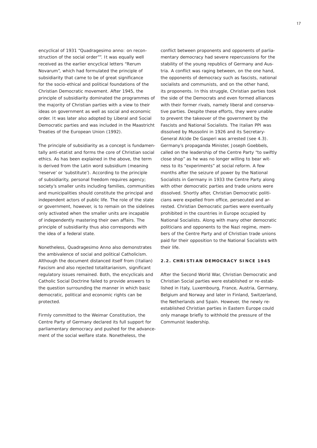encyclical of 1931 "*Quadragesimo anno: on reconstruction of the social order"*". It was equally well received as the earlier encyclical letters "*Rerum Novarum*", which had formulated the principle of subsidiarity that came to be of great significance for the socio-ethical and political foundations of the Christian Democratic movement. After 1945, the principle of subsidiarity dominated the programmes of the majority of Christian parties with a view to their ideas on government as well as social and economic order. It was later also adopted by Liberal and Social Democratic parties and was included in the Maastricht Treaties of the European Union (1992).

The principle of subsidiarity as a concept is fundamentally anti-etatist and forms the core of Christian social ethics. As has been explained in the above, the term is derived from the Latin word *subsidium* (meaning 'reserve' or 'substitute'). According to the principle of subsidiarity, personal freedom requires agency; society's smaller units including families, communities and municipalities should constitute the principal and independent actors of public life. The role of the state or government, however, is to remain on the sidelines only activated when the smaller units are incapable of independently mastering their own affairs. The principle of subsidiarity thus also corresponds with the idea of a federal state.

Nonetheless, *Quadragesimo Anno* also demonstrates the ambivalence of social and political Catholicism. Although the document distanced itself from (Italian) Fascism and also rejected totalitarianism, significant regulatory issues remained. Both, the encyclicals and Catholic Social Doctrine failed to provide answers to the question surrounding the manner in which basic democratic, political and economic rights can be protected.

Firmly committed to the Weimar Constitution, the Centre Party of Germany declared its full support for parliamentary democracy and pushed for the advancement of the social welfare state. Nonetheless, the

conflict between proponents and opponents of parliamentary democracy had severe repercussions for the stability of the young republics of Germany and Austria. A conflict was raging between, on the one hand, the opponents of democracy such as fascists, national socialists and communists, and on the other hand, its proponents. In this struggle, Christian parties took the side of the Democrats and even formed alliances with their former rivals, namely liberal and conservative parties. Despite these efforts, they were unable to prevent the takeover of the government by the Fascists and National Socialists. The Italian PPI was dissolved by Mussolini in 1926 and its Secretary-General Alcide De Gasperi was arrested (see 4.3). Germany's propaganda Minister, Joseph Goebbels, called on the leadership of the Centre Party "to swiftly close shop" as he was no longer willing to bear witness to its "experiments" at social reform. A few months after the seizure of power by the National Socialists in Germany in 1933 the Centre Party along with other democratic parties and trade unions were dissolved. Shortly after, Christian Democratic politicians were expelled from office, persecuted and arrested. Christian Democratic parties were eventually prohibited in the countries in Europe occupied by National Socialists. Along with many other democratic politicians and opponents to the Nazi regime, members of the Centre Party and of Christian trade unions paid for their opposition to the National Socialists with their life.

# **2 . 2 . Christian Democracy since 1 9 4 5**

After the Second World War, Christian Democratic and Christian Social parties were established or re-established in Italy, Luxembourg, France, Austria, Germany, Belgium and Norway and later in Finland, Switzerland, the Netherlands and Spain. However, the newly reestablished Christian parties in Eastern Europe could only manage briefly to withhold the pressure of the Communist leadership.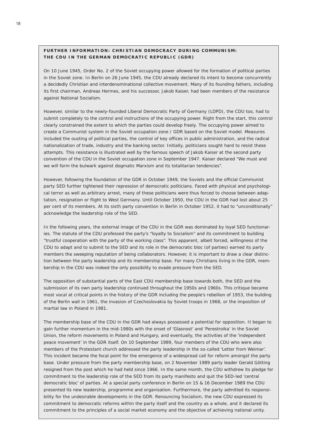# FURTHER INFORMATION: CHRISTIAN DEMOCRACY DURING COMMUNISM: **The CDU in the German Democratic Republic (GDR)**

On 10 June 1945, Order No. 2 of the Soviet occupying power allowed for the formation of political parties in the Soviet zone. In Berlin on 26 June 1945, the CDU already declared its intent to become concurrently a decidedly Christian and interdenominational collective movement. Many of its founding fathers, including its first chairman, Andreas Hermes, and his successor, Jakob Kaiser, had been members of the resistance against National Socialism.

However, similar to the newly-founded Liberal Democratic Party of Germany (LDPD), the CDU too, had to submit completely to the control and instructions of the occupying power. Right from the start, this control clearly constrained the extent to which the parties could develop freely. The occupying power aimed to create a Communist system in the Soviet occupation zone / GDR based on the Soviet model. Measures included the ousting of political parties, the control of key offices in public administration, and the radical nationalization of trade, industry and the banking sector. Initially, politicians sought hard to resist these attempts. This resistance is illustrated well by the famous speech of Jakob Kaiser at the second party convention of the CDU in the Soviet occupation zone in September 1947. Kaiser declared "We must and we will form the bulwark against dogmatic Marxism and its totalitarian tendencies".

However, following the foundation of the GDR in October 1949, the Soviets and the official Communist party SED further tightened their repression of democratic politicians. Faced with physical and psychological terror as well as arbitrary arrest, many of these politicians were thus forced to choose between adaptation, resignation or flight to West Germany. Until October 1950, the CDU in the GDR had lost about 25 per cent of its members. At its sixth party convention in Berlin in October 1952, it had to "unconditionally" acknowledge the leadership role of the SED.

In the following years, the external image of the CDU in the GDR was dominated by loyal SED functionaries. The statute of the CDU professed the party's "loyalty to Socialism" and its commitment to building "trustful cooperation with the party of the working class". This apparent, albeit forced, willingness of the CDU to adapt and to submit to the SED and its role in the democratic bloc (of parties) earned its party members the sweeping reputation of being collaborators. However, it is important to draw a clear distinction between the party leadership and its membership base. For many Christians living in the GDR, membership in the CDU was indeed the only possibility to evade pressure from the SED.

The opposition of substantial parts of the East CDU membership base towards both, the SED and the submission of its own party leadership continued throughout the 1950s and 1960s. This critique became most vocal at critical points in the history of the GDR including the people's rebellion of 1953, the building of the Berlin wall in 1961, the invasion of Czechoslovakia by Soviet troops in 1968, or the imposition of martial law in Poland in 1981.

The membership base of the CDU in the GDR had always possessed a potential for opposition. It began to gain further momentum in the mid-1980s with the onset of 'Glasnost' and 'Perestroika' in the Soviet Union, the reform movements in Poland and Hungary, and eventually, the activities of the 'independent peace movement' in the GDR itself. On 10 September 1989, four members of the CDU who were also members of the Protestant church addressed the party leadership in the so-called 'Letter from Weimar'. This incident became the focal point for the emergence of a widespread call for reform amongst the party base. Under pressure from the party membership base, on 2 November 1989 party leader Gerald Götting resigned from the post which he had held since 1966. In the same month, the CDU withdrew its pledge for commitment to the leadership role of the SED from its party manifesto and quit the SED-led 'central democratic bloc' of parties. At a special party conference in Berlin on 15 & 16 December 1989 the CDU presented its new leadership, programme and organisation. Furthermore, the party admitted its responsibility for the undesirable developments in the GDR. Renouncing Socialism, the new CDU expressed its commitment to democratic reforms within the party itself and the country as a whole, and it declared its commitment to the principles of a social market economy and the objective of achieving national unity.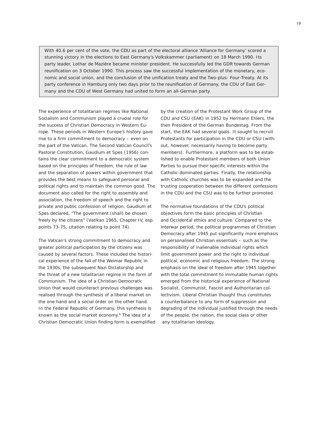With 40.6 per cent of the vote, the CDU as part of the electoral alliance 'Alliance for Germany' scored a stunning victory in the elections to East Germany's *Volkskammer* (parliament) on 18 March 1990. Its party leader, Lothar de Mazière became minister president. He successfully led the GDR towards German reunification on 3 October 1990. This process saw the successful implementation of the monetary, economic and social union, and the conclusion of the unification treaty and the Two-plus- Four-Treaty. At its party conference in Hamburg only two days prior to the reunification of Germany, the CDU of East Germany and the CDU of West Germany had united to form an all-German party.

The experience of totalitarian regimes like National Socialism and Communism played a crucial role for the success of Christian Democracy in Western Europe. These periods in Western Europe's history gave rise to a firm commitment to democracy – even on the part of the Vatican. The Second Vatican Council's Pastoral Constitution, *Gaudium et Spes* (1956) contains the clear commitment to a democratic system based on the principles of freedom, the rule of law and the separation of powers within government that provides the best means to safeguard personal and political rights and to maintain the common good. The document also called for the right to assembly and association, the freedom of speech and the right to private and public confession of religion. *Gaudium et Spes* declared, "The government (shall) be chosen freely by the citizens" (Vatikan 1965, Chapter IV, esp. points 73-75, citation relating to point 74).

The Vatican's strong commitment to democracy and greater political participation by the citizens was caused by several factors. These included the historical experience of the fall of the Weimar Republic in the 1930s, the subsequent Nazi Dictatorship and the threat of a new totalitarian regime in the form of Communism. The idea of a Christian Democratic Union that would counteract previous challenges was realised through the synthesis of a liberal market on the one hand and a social order on the other hand. In the Federal Republic of Germany, this synthesis is known as the social market economy.<sup>6</sup> The idea of a Christian Democratic Union finding form is exemplified by the creation of the Protestant Work Group of the CDU and CSU (EAK) in 1952 by Hermann Ehlers, the then President of the German Bundestag. From the start, the EAK had several goals. It sought to recruit Protestants for participation in the CDU or CSU (without, however, necessarily having to become party members). Furthermore, a platform was to be established to enable Protestant members of both Union Parties to pursue their specific interests within the Catholic-dominated parties. Finally, the relationship with Catholic churches was to be expanded and the trusting cooperation between the different confessions in the CDU and the CSU was to be further promoted.

The normative foundations of the CDU's political objectives form the basic principles of Christian and Occidental ethics and culture. Compared to the interwar period, the political programmes of Christian Democracy after 1945 put significantly more emphasis on personalised Christian essentials – such as the responsibility of inalienable individual rights which limit government power and the right to individual political, economic and religious freedom. The strong emphasis on the ideal of freedom after 1945 together with the total commitment to immutable human rights emerged from the historical experience of National Socialist, Communist, Fascist and Authoritarian collectivism. Liberal Christian thought thus constitutes a counterbalance to any form of suppression and degrading of the individual justified through the needs of the people, the nation, the social class or other any totalitarian ideology.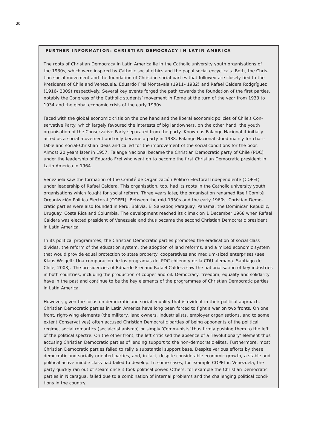### **Further Information : Christian Democracy in Latin America**

The roots of Christian Democracy in Latin America lie in the Catholic university youth organisations of the 1930s, which were inspired by Catholic social ethics and the papal social encyclicals. Both, the Christian social movement and the foundation of Christian social parties that followed are closely tied to the Presidents of Chile and Venezuela, Eduardo Frei Montavala (1911**–**1982) and Rafael Caldera Rodgríguez (1916**–**2009) respectively. Several key events forged the path towards the foundation of the first parties, notably the Congress of the Catholic students' movement in Rome at the turn of the year from 1933 to 1934 and the global economic crisis of the early 1930s.

Faced with the global economic crisis on the one hand and the liberal economic policies of Chile's Conservative Party, which largely favoured the interests of big landowners, on the other hand, the youth organisation of the Conservative Party separated from the party. Known as *Falange Nacional* it initially acted as a social movement and only became a party in 1938. *Falange Nacional s*tood mainly for charitable and social-Christian ideas and called for the improvement of the social conditions for the poor. Almost 20 years later in 1957, *Falange Nacional* became the Christian Democratic party of Chile (PDC) under the leadership of Eduardo Frei who went on to become the first Christian Democratic president in Latin America in 1964.

Venezuela saw the formation of the *Comité de Organización Politico Electoral Independiente* (COPEI) under leadership of Rafael Caldera. This organisation, too, had its roots in the Catholic university youth organisations which fought for social reform. Three years later, the organisation renamed itself *Comité Organización Politica Electoral* (COPEI). Between the mid-1950s and the early 1960s, Christian Democratic parties were also founded in Peru, Bolivia, El Salvador, Paraguay, Panama, the Dominican Republic, Uruguay, Costa Rica and Columbia. The development reached its climax on 1 December 1968 when Rafael Caldera was elected president of Venezuela and thus became the second Christian Democratic president in Latin America.

In its political programmes, the Christian Democratic parties promoted the eradication of social class divides, the reform of the education system, the adoption of land reforms, and a mixed economic system that would provide equal protection to state property, cooperatives and medium-sized enterprises (see Klaus Weigelt: *Una comparación de los programas del PDC chileno y de la CDU alemana*. Santiago de Chile, 2008). The presidencies of Eduardo Frei and Rafael Caldera saw the nationalisation of key industries in both countries, including the production of copper and oil. Democracy, freedom, equality and solidarity have in the past and continue to be the key elements of the programmes of Christian Democratic parties in Latin America.

However, given the focus on democratic and social equality that is evident in their political approach, Christian Democratic parties in Latin America have long been forced to fight a war on two fronts. On one front, right-wing elements (the military, land owners, industrialists, employer organisations, and to some extent Conservatives) often accused Christian Democratic parties of being opponents of the political regime, social romantics (*socialcristianismo*) or simply 'Communists' thus firmly pushing them to the left of the political spectre. On the other front, the left criticised the absence of a 'revolutionary' element thus accusing Christian Democratic parties of lending support to the non-democratic elites. Furthermore, most Christian Democratic parties failed to rally a substantial support base. Despite various efforts by these democratic and socially oriented parties, and, in fact, despite considerable economic growth, a stable and political active middle class had failed to develop. In some cases, for example COPEI in Venezuela, the party quickly ran out of steam once it took political power. Others, for example the Christian Democratic parties in Nicaragua, failed due to a combination of internal problems and the challenging political conditions in the country.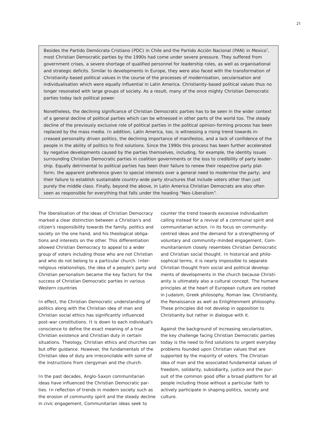Besides the *Partido Demócrata Cristiano* (PDC) in Chile and the *Partido Acción Nacional* (PAN) in Mexico7, most Christian Democratic parties by the 1990s had come under severe pressure. They suffered from government crises, a severe shortage of qualified personnel for leadership roles, as well as organisational and strategic deficits. Similar to developments in Europe, they were also faced with the transformation of Christianity-based political values in the course of the processes of modernisation, secularisation and individualisation which were equally influential in Latin America. Christianity-based political values thus no longer resonated with large groups of society. As a result, many of the once mighty Christian Democratic parties today lack political power.

Nonetheless, the declining significance of Christian Democratic parties has to be seen in the wider context of a general decline of political parties which can be witnessed in other parts of the world too. The steady decline of the previously exclusive role of political parties in the political opinion-forming process has been replaced by the mass media. In addition, Latin America, too, is witnessing a rising trend towards increased personality driven politics, the declining importance of manifestos, and a lack of confidence of the people in the ability of politics to find solutions. Since the 1990s this process has been further accelerated by negative developments caused by the parties themselves, including, for example, the identity issues surrounding Christian Democratic parties in coalition governments or the loss to credibility of party leadership. Equally detrimental to political parties has been their failure to renew their respective party platform; the apparent preference given to special interests over a general need to modernise the party; and their failure to establish sustainable country-wide party structures that include voters other than just purely the middle class. Finally, beyond the above, in Latin America Christian Democrats are also often seen as responsible for everything that falls under the heading "Neo-Liberalism".

The liberalisation of the ideas of Christian Democracy marked a clear distinction between a Christian's and citizen's responsibility towards the family, politics and society on the one hand, and his theological obligations and interests on the other. This differentiation allowed Christian Democracy to appeal to a wider group of voters including those who are not Christian and who do not belong to a particular church. Interreligious relationships, the idea of a people's party and Christian personalism became the key factors for the success of Christian Democratic parties in various Western countries

In effect, the Christian Democratic understanding of politics along with the Christian idea of man and Christian social ethics has significantly influenced post-war constitutions. It is down to each individual's conscience to define the exact meaning of a true Christian existence and Christian duty in certain situations. Theology, Christian ethics and churches can but offer guidance. However, the fundamentals of the Christian idea of duty are irreconcilable with some of the instructions from clergyman and the church.

In the past decades, Anglo-Saxon communitarian ideas have influenced the Christian Democratic parties. In reflection of trends in modern society such as the erosion of community spirit and the steady decline in civic engagement, Communitarian ideas seek to

counter the trend towards excessive individualism calling instead for a revival of a communal spirit and communitarian action. In its focus on communitycentred ideas and the demand for a strengthening of voluntary and community-minded engagement, Communitarianism closely resembles Christian Democratic and Christian social thought. In historical and philosophical terms, it is nearly impossible to separate Christian thought from social and political developments of developments in the church because Christianity is ultimately also a cultural concept. The humane principles at the heart of European culture are rooted in Judaism, Greek philosophy, Roman law, Christianity, the Renaissance as well as Enlightenment philosophy. These principles did not develop in opposition to Christianity but rather in dialogue with it.

Against the background of increasing secularisation, the key challenge facing Christian Democratic parties today is the need to find solutions to urgent everyday problems founded upon Christian values that are supported by the majority of voters. The Christian idea of man and the associated fundamental values of freedom, solidarity, subsidiarity, justice and the pursuit of the common good offer a broad platform for all people including those without a particular faith to actively participate in shaping politics, society and culture.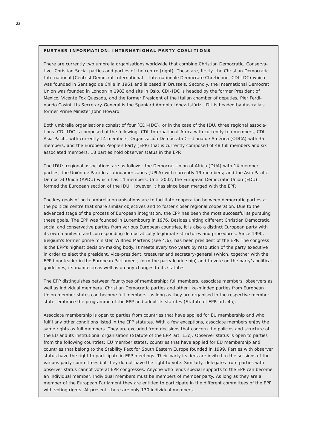#### FURTHER INFORMATION: INTERNATIONAL PARTY COALITIONS

There are currently two umbrella organisations worldwide that combine Christian Democratic, Conservative, Christian Social parties and parties of the centre (right). These are, firstly, the Christian Democratic International (*Centrist Democrat International* – *Internationale Démocrate Chrétienne*, CDI-IDC) which was founded in Santiago de Chile in 1961 and is based in Brussels. Secondly, the International Democrat Union was founded in London in 1983 and sits in Oslo. CDI-IDC is headed by the former President of Mexico, Vicente Fox Quesada, and the former President of the Italian chamber of deputies, Pier Ferdinando Casini. Its Secretary-General is the Spaniard Antonio López-Istúriz. IDU is headed by Australia's former Prime Minister John Howard.

Both umbrella organisations consist of four (CDI-IDC), or in the case of the IDU, three regional associations. CDI-IDC is composed of the following; *CDI-International-Africa* with currently ten members, CDI Asia-Pacific with currently 14 members, *Organización Demócrata Cristiana de América* (ODCA) with 35 members, and the European People's Party (EPP) that is currently composed of 48 full members and six associated members. 18 parties hold observer status in the EPP.

The IDU's regional associations are as follows: the *Democrat Union of Africa* (DUA) with 14 member parties; the *Unión de Partidos Latinoamericanos* (UPLA) with currently 19 members; and the *Asia Pacific Democrat Union* (APDU) which has 14 members. Until 2002, the *European Democratic Union* (EDU) formed the European section of the IDU. However, it has since been merged with the EPP.

The key goals of both umbrella organisations are to facilitate cooperation between democratic parties at the political centre that share similar objectives and to foster closer regional cooperation. Due to the advanced stage of the process of European integration, the EPP has been the most successful at pursuing these goals. The EPP was founded in Luxembourg in 1976. Besides uniting different Christian Democratic, social and conservative parties from various European countries, it is also a distinct European party with its own manifesto and corresponding democratically legitimate structures and procedures. Since 1990, Belgium's former prime minister, Wilfried Martens (see 4.6), has been president of the EPP. The congress is the EPP's highest decision-making body. It meets every two years by resolution of the party executive in order to elect the president, vice-president, treasurer and secretary-general (which, together with the EPP floor leader in the European Parliament, form the party leadership) and to vote on the party's political guidelines, its manifesto as well as on any changes to its statutes.

The EPP distinguishes between four types of membership; full members, associate members, observers as well as individual members. Christian Democratic parties and other like-minded parties from European Union member states can become full members, as long as they are organised in the respective member state, embrace the programme of the EPP and adopt its statutes (Statute of EPP, art. 4a).

Associate membership is open to parties from countries that have applied for EU membership and who fulfil any other conditions listed in the EPP statutes. With a few exceptions, associate members enjoy the same rights as full members. They are excluded from decisions that concern the policies and structure of the EU and its institutional organisation (Statute of the EPP, art. 13c). Observer status is open to parties from the following countries: EU member states, countries that have applied for EU membership and countries that belong to the Stability Pact for South Eastern Europe founded in 1999. Parties with observer status have the right to participate in EPP meetings. Their party leaders are invited to the sessions of the various party committees but they do not have the right to vote. Similarly, delegates from parties with observer status cannot vote at EPP congresses. Anyone who lends special supports to the EPP can become an individual member. Individual members must be members of member party. As long as they are a member of the European Parliament they are entitled to participate in the different committees of the EPP with voting rights. At present, there are only 130 individual members.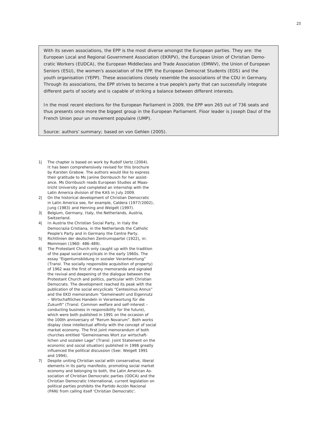With its seven associations, the EPP is the most diverse amongst the European parties. They are: the European Local and Regional Government Association (EKRPV), the European Union of Christian Democratic Workers (EUDCA), the European Middleclass and Trade Association (EMWV), the Union of European Seniors (ESU), the women's association of the EPP, the European Democrat Students (EDS) and the youth organisation (YEPP). These associations closely resemble the associations of the CDU in Germany. Through its associations, the EPP strives to become a true people's party that can successfully integrate different parts of society and is capable of striking a balance between different interests.

In the most recent elections for the European Parliament in 2009, the EPP won 265 out of 736 seats and thus presents once more the biggest group in the European Parliament. Floor leader is Joseph Daul of the *French Union pour un movement populaire* (UMP).

*Source: authors' summary; based on von Gehlen (2005).*

- *The chapter is based on work by Rudolf Uertz (2004). 1| It has been comprehensively revised for this brochure by Karsten Grabow. The authors would like to express their gratitude to Ms Janine Dornbusch for her assistance. Ms Dornbusch reads European Studies at Maastricht University and completed an internship with the Latin America division of the KAS in July 2009.*
- *On the historical development of Christian Democratic 2| in Latin America see, for example, Caldera (1977/2002), Jung (1983) and Henning and Weigelt (1997).*
- *Belgium, Germany, Italy, the Netherlands, Austria, 3| Switzerland.*
- *In Austria the Christian Social Party, in Italy the 4| Democrazia Cristiana, in the Netherlands the Catholic People's Party and in Germany the Centre Party.*
- *Richtlinien der deutschen Zentrumspartei (1922), in: 5| Mommsen (1960: 486-489).*
- *The Protestant Church only caught up with the tradition 6| of the papal social encyclicals in the early 1960s. The essay "Eigentumsbildung in sozialer Verantwortung" (Transl. The socially responsible acquisition of property) of 1962 was the first of many memoranda and signaled the revival and deepening of the dialogue between the Protestant Church and politics, particular with Christian Democrats. The development reached its peak with the publication of the social encyclicals "Centesimus Annus" and the EKD memorandum "Gemeinwohl und Eigennutz – Wirtschaftliches Handeln in Verantwortung für die Zukunft" (Transl. Common welfare and self-interest – conducting business in responsibility for the future), which were both published in 1991 on the occasion of the 100th anniversary of "Rerum Novarum". Both works display close intellectual affinity with the concept of social market economy. The first joint memorandum of both churches entitled "Gemeinsames Wort zur wirtschaftlichen und sozialen Lage" (Transl. Joint Statement on the economic and social situation) published in 1998 greatly influenced the political discussion (See: Weigelt 1991 and 1994).*
- *Despite uniting Christian social with conservative, liberal 7|elements in its party manifesto, promoting social market economy and belonging to both, the Latin American Association of Christian Democratic parties (ODCA) and the Christian Democratic International, current legislation on political parties prohibits the Partido Acción Nacional (PAN) from calling itself 'Christian Democratic'.*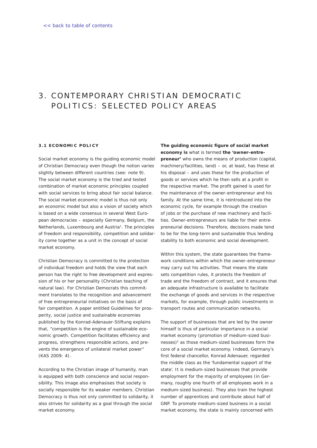# <span id="page-21-0"></span>3. CONTEMPORARY CHRISTIAN DEMOCRATIC POLITICS: SELECTED POLICY AREAS

#### **3 . 1 Economic Policy**

Social market economy is the guiding economic model of Christian Democracy even though the notion varies slightly between different countries (see: note 9). The social market economy is the tried and tested combination of market economic principles coupled with social services to bring about fair social balance. The social market economic model is thus not only an economic model but also a vision of society which is based on a wide consensus in several West European democracies – especially Germany, Belgium, the Netherlands, Luxembourg and Austria<sup>1</sup>. The principles of freedom and responsibility, competition and solidarity come together as a unit in the concept of social market economy.

Christian Democracy is committed to the protection of individual freedom and holds the view that each person has the right to free development and expression of his or her personality (Christian teaching of natural law). For Christian Democrats this commitment translates to the recognition and advancement of free entrepreneurial initiatives on the basis of fair competition. A paper entitled *Guidelines for prosperity, social justice and sustainable economies* published by the Konrad-Adenauer-Stiftung explains that, "competition is the engine of sustainable economic growth. Competition facilitates efficiency and progress, strengthens responsible actions, and prevents the emergence of unilateral market power" (KAS 2009: 4).

According to the Christian image of humanity, man is equipped with both conscience and social responsibility. This image also emphasises that society is socially responsible for its weaker members. Christian Democracy is thus not only committed to solidarity, it also strives for solidarity as a goal through the social market economy.

*The guiding economic figure of social market economy is* what is termed *the 'owner-entrepreneur'* who owns the means of production (capital, machinery/facilities, land) – or, at least, has these at his disposal – and uses these for the production of goods or services which he then sells at a profit in the respective market. The profit gained is used for the maintenance of the owner-entrepreneur and his family. At the same time, it is reintroduced into the economic cycle, for example through the creation of jobs or the purchase of new machinery and facilities. Owner-entrepreneurs are liable for their entrepreneurial decisions. Therefore, decisions made tend to be for the long-term and sustainable thus lending stability to both economic and social development.

Within this system, the state guarantees the framework conditions within which the owner-entrepreneur may carry out his activities. That means the state sets competition rules, it protects the freedom of trade and the freedom of contract, and it ensures that an adequate infrastructure is available to facilitate the exchange of goods and services in the respective markets, for example, through public investments in transport routes and communication networks.

The support of businesses that are led by the owner himself is thus of particular importance in a social market economy (promotion of medium-sized businesses)<sup>2</sup> as those medium-sized businesses form the core of a social market economy. Indeed, Germany's first federal chancellor, Konrad Adenauer, regarded the middle class as the 'fundamental support of the state'. It is medium-sized businesses that provide employment for the majority of employees (in Germany, roughly one fourth of all employees work in a medium-sized business). They also train the highest number of apprentices and contribute about half of GNP. To promote medium-sized business in a social market economy, the state is mainly concerned with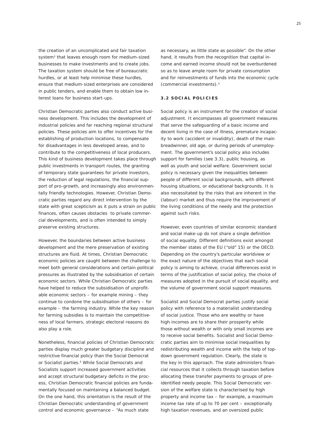the creation of an uncomplicated and fair taxation system3 that leaves enough room for medium-sized businesses to make investments and to create jobs. The taxation system should be free of bureaucratic hurdles, or at least help minimise these hurdles, ensure that medium-sized enterprises are considered in public tenders, and enable them to obtain low interest loans for business start-ups.

Christian Democratic parties also conduct active business development. This includes the development of industrial policies and far reaching regional structural policies. These policies aim to offer incentives for the establishing of production locations, to compensate for disadvantages in less developed areas, and to contribute to the competitiveness of local producers. This kind of business development takes place through public investments in transport routes, the granting of temporary state guarantees for private investors, the reduction of legal regulations, the financial support of pro-growth, and increasingly also environmentally friendly technologies. However, Christian Democratic parties regard any direct intervention by the state with great scepticism as it puts a strain on public finances, often causes obstacles to private commercial developments, and is often intended to simply preserve existing structures.

However, the boundaries between active business development and the mere preservation of existing structures are fluid. At times, Christian Democratic economic policies are caught between the challenge to meet both general considerations and certain political pressures as illustrated by the subsidisation of certain economic sectors. While Christian Democratic parties have helped to reduce the subsidisation of unprofitable economic sectors – for example mining – they continue to condone the subsidisation of others – for example – the farming industry. While the key reason for farming subsidies is to maintain the competitiveness of local farmers, strategic electoral reasons do also play a role.

Nonetheless, financial policies of Christian Democratic parties display much greater budgetary discipline and restrictive financial policy than the Social Democrat or Socialist parties.<sup>4</sup> While Social Democrats and Socialists support increased government activities and accept structural budgetary deficits in the process, Christian Democratic financial policies are fundamentally focused on maintaining a balanced budget. On the one hand, this orientation is the result of the Christian Democratic understanding of government control and economic governance – "As much state

as necessary, as little state as possible". On the other hand, it results from the recognition that capital income and earned income should not be overburdened so as to leave ample room for private consumption and for reinvestments of funds into the economic cycle (commercial investments).5

### **3 . 2 Social Policies**

Social policy is an instrument for the creation of social adjustment. It encompasses all government measures that serve the safeguarding of a basic income and decent living in the case of illness, premature incapacity to work (accident or invalidity), death of the main breadwinner, old age, or during periods of unemployment. The government's social policy also includes support for families (see 3.3), public housing, as well as youth and social welfare. Government social policy is necessary given the inequalities between people of different social backgrounds, with different housing situations, or educational backgrounds. It is also necessitated by the risks that are inherent in the (labour) market and thus require the improvement of the living conditions of the needy and the protection against such risks.

However, even countries of similar economic standard and social make-up do not share a single definition of social equality. Different definitions exist amongst the member states of the EU ("old" 15) or the OECD. Depending on the country's particular worldview or the exact nature of the objectives that each social policy is aiming to achieve, crucial differences exist in terms of the justification of social policy, the choice of measures adopted in the pursuit of social equality, and the volume of government social support measures.

Socialist and Social Democrat parties justify social policy with reference to a materialist understanding of social justice. Those who are wealthy or have high incomes are to share their prosperity while those without wealth or with only small incomes are to receive social benefits. Socialist and Social Democratic parties aim to minimise social inequalities by redistributing wealth and income with the help of topdown government regulation. Clearly, the state is the key in this approach. The state administers financial resources that it collects through taxation before allocating these transfer payments to groups of preidentified needy people. This Social Democratic version of the welfare state is characterised by high property and income tax – for example, a maximum income tax rate of up to 70 per cent – exceptionally high taxation revenues, and an oversized public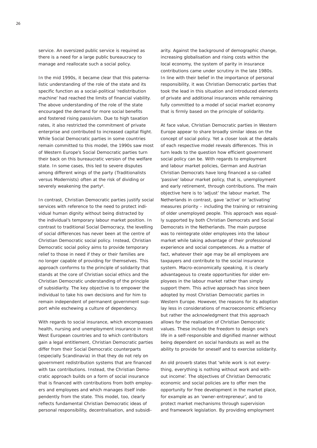service. An oversized public service is required as there is a need for a large public bureaucracy to manage and reallocate such a social policy.

In the mid 1990s, it became clear that this paternalistic understanding of the role of the state and its specific function as a social-political 'redistribution machine' had reached the limits of financial viability. The above understanding of the role of the state encouraged the demand for more social benefits and fostered rising passivism. Due to high taxation rates, it also restricted the commitment of private enterprise and contributed to increased capital flight. While Social Democratic parties in some countries remain committed to this model, the 1990s saw most of Western Europe's Social Democratic parties turn their back on this bureaucratic version of the welfare state. In some cases, this led to severe disputes among different wings of the party (Traditionalists versus Modernists) often at the risk of dividing or severely weakening the party<sup>6</sup>.

In contrast, Christian Democratic parties justify social services with reference to the need to protect individual human dignity without being distracted by the individual's temporary labour market position. In contrast to traditional Social Democracy, the levelling of social differences has never been at the centre of Christian Democratic social policy. Instead, Christian Democratic social policy aims to provide temporary relief to those in need if they or their families are no longer capable of providing for themselves. This approach conforms to the principle of solidarity that stands at the core of Christian social ethics and the Christian Democratic understanding of the principle of subsidiarity. The key objective is to empower the individual to take his own decisions and for him to remain independent of permanent government support while eschewing a culture of dependency.

With regards to social insurance, which encompasses health, nursing and unemployment insurance in most West European countries and to which contributors gain a legal entitlement, Christian Democratic parties differ from their Social Democratic counterparts (especially Scandinavia) in that they do not rely on government redistribution systems that are financed with tax contributions. Instead, the Christian Democratic approach builds on a form of social insurance that is financed with contributions from both employers and employees and which manages itself independently from the state. This model, too, clearly reflects fundamental Christian Democratic ideas of personal responsibility, decentralisation, and subsidiarity. Against the background of demographic change, increasing globalisation and rising costs within the local economy, the system of parity in insurance contributions came under scrutiny in the late 1980s. In line with their belief in the importance of personal responsibility, it was Christian Democratic parties that took the lead in this situation and introduced elements of private and additional insurances while remaining fully committed to a model of social market economy that is firmly based on the principle of solidarity.

At face value, Christian Democratic parties in Western Europe appear to share broadly similar ideas on the concept of social policy. Yet a closer look at the details of each respective model reveals differences. This in turn leads to the question how efficient government social policy can be. With regards to employment and labour market policies, German and Austrian Christian Democrats have long financed a so-called 'passive' labour market policy, that is, unemployment and early retirement, through contributions. The main objective here is to 'adjust' the labour market. The Netherlands in contrast, gave 'active' or 'activating' measures priority – including the training or retraining of older unemployed people. This approach was equally supported by both Christian Democrats and Social Democrats in the Netherlands. The main purpose was to reintegrate older employees into the labour market while taking advantage of their professional experience and social competences. As a matter of fact, whatever their age may be all employees are taxpayers and contribute to the social insurance system. Macro-economically speaking, it is clearly advantageous to create opportunities for older employees in the labour market rather than simply support them. This active approach has since been adopted by most Christian Democratic parties in Western Europe. However, the reasons for its adoption lay less in considerations of macroeconomic efficiency but rather the acknowledgment that this approach allows for the realisation of Christian Democratic values. These include the freedom to design one's life in a self-responsible and dignified manner without being dependent on social handouts as well as the ability to provide for oneself and to exercise solidarity.

An old proverb states that 'while work is not everything, everything is nothing without work and without income'. The objectives of Christian Democratic economic and social policies are to offer men the opportunity for free development in the market place, for example as an 'owner-entrepreneur', and to protect market mechanisms through supervision and framework legislation. By providing employment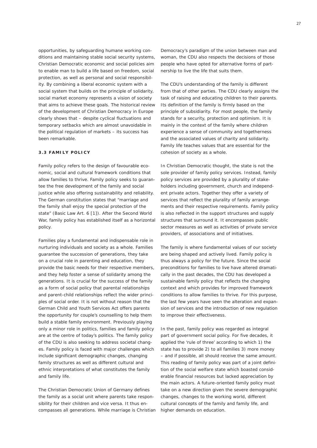opportunities, by safeguarding humane working conditions and maintaining stable social security systems, Christian Democratic economic and social policies aim to enable man to build a life based on freedom, social protection, as well as personal and social responsibility. By combining a liberal economic system with a social system that builds on the principle of solidarity, social market economy represents a vision of society that aims to achieve these goals. The historical review of the development of Christian Democracy in Europe clearly shows that – despite cyclical fluctuations and temporary setbacks which are almost unavoidable in the political regulation of markets – its success has been remarkable.

#### **3 . 3 Family Policy**

Family policy refers to the design of favourable economic, social and cultural framework conditions that allow families to thrive. Family policy seeks to guarantee the free development of the family and social justice while also offering sustainability and reliability. The German constitution states that "marriage and the family shall enjoy the special protection of the state" (Basic Law Art. 6 [1]). After the Second World War, family policy has established itself as a horizontal policy.

Families play a fundamental and indispensable role in nurturing individuals and society as a whole. Families guarantee the succession of generations, they take on a crucial role in parenting and education, they provide the basic needs for their respective members, and they help foster a sense of solidarity among the generations. It is crucial for the success of the family as a form of social policy that parental relationships and parent-child relationships reflect the wider principles of social order. It is not without reason that the German Child and Youth Services Act offers parents the opportunity for couple's counselling to help them build a stable family environment. Previously playing only a minor role in politics, families and family policy are at the centre of today's politics. The family policy of the CDU is also seeking to address societal changes. Family policy is faced with major challenges which include significant demographic changes, changing family structures as well as different cultural and ethnic interpretations of what constitutes the family and family life.

The Christian Democratic Union of Germany defines the family as a social unit where parents take responsibility for their children and *vice versa*. It thus encompasses all generations. While marriage is Christian Democracy's paradigm of the union between man and woman, the CDU also respects the decisions of those people who have opted for alternative forms of partnership to live the life that suits them.

The CDU's understanding of the family is different from that of other parties. The CDU clearly assigns the task of raising and educating children to their parents. Its definition of the family is firmly based on the principle of subsidiarity. For most people, the family stands for a security, protection and optimism. It is mainly in the context of the family where children experience a sense of community and togetherness and the associated values of charity and solidarity. Family life teaches values that are essential for the cohesion of society as a whole.

In Christian Democratic thought, the state is not the sole provider of family policy services. Instead, family policy services are provided by a plurality of stakeholders including government, church and independent private actors. Together they offer a variety of services that reflect the plurality of family arrangements and their respective requirements. Family policy is also reflected in the support structures and supply structures that surround it. It encompasses public sector measures as well as activities of private service providers, of associations and of initiatives.

The family is where fundamental values of our society are being shaped and actively lived. Family policy is thus always a policy for the future. Since the social preconditions for families to live have altered dramatically in the past decades, the CDU has developed a sustainable family policy that reflects the changing context and which provides for improved framework conditions to allow families to thrive. For this purpose, the last few years have seen the alteration and expansion of services and the introduction of new regulation to improve their effectiveness.

In the past, family policy was regarded as integral part of government social policy. For five decades, it applied the 'rule of three' according to which 1) the state has to provide 2) to all families 3) more money – and if possible, all should receive the same amount. This reading of family policy was part of a joint definition of the social welfare state which boasted considerable financial resources but lacked appreciation by the main actors. A future-oriented family policy must take on a new direction given the severe demographic changes, changes to the working world, different cultural concepts of the family and family life, and higher demands on education.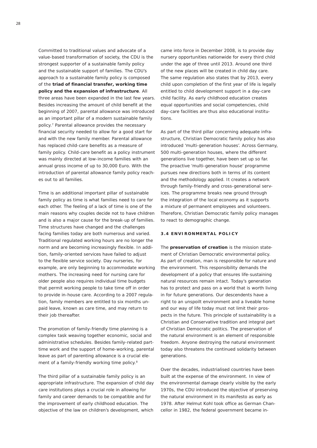Committed to traditional values and advocate of a value-based transformation of society, the CDU is the strongest supporter of a sustainable family policy and the sustainable support of families. The CDU's approach to a sustainable family policy is composed of the *triad of financial transfer, working time policy and the expansion of infrastructure*. All three areas have been expanded in the last few years. Besides increasing the amount of child benefit at the beginning of 2007, parental allowance was introduced as an important pillar of a modern sustainable family policy.7 Parental allowance provides the necessary financial security needed to allow for a good start for and with the new family member. Parental allowance has replaced child-care benefits as a measure of family policy. Child-care benefit as a policy instrument was mainly directed at low-income families with an annual gross income of up to 30,000 Euro. With the introduction of parental allowance family policy reaches out to all families.

Time is an additional important pillar of sustainable family policy as time is what families need to care for each other. The feeling of a lack of time is one of the main reasons why couples decide not to have children and is also a major cause for the break-up of families. Time structures have changed and the challenges facing families today are both numerous and varied. Traditional regulated working hours are no longer the norm and are becoming increasingly flexible. In addition, family-oriented services have failed to adjust to the flexible service society. Day nurseries, for example, are only beginning to accommodate working mothers. The increasing need for nursing care for older people also requires individual time budgets that permit working people to take time off in order to provide in-house care. According to a 2007 regulation, family members are entitled to six months unpaid leave, known as care time, and may return to their job thereafter.

The promotion of family-friendly time planning is a complex task weaving together economic, social and administrative schedules. Besides family-related parttime work and the support of home-working, parental leave as part of parenting allowance is a crucial element of a family-friendly working time policy.<sup>8</sup>

The third pillar of a sustainable family policy is an appropriate infrastructure. The expansion of child day care institutions plays a crucial role in allowing for family and career demands to be compatible and for the improvement of early childhood education. The objective of the law on children's development, which

came into force in December 2008, is to provide day nursery opportunities nationwide for every third child under the age of three until 2013. Around one third of the new places will be created in child day care. The same regulation also states that by 2013, every child upon completion of the first year of life is legally entitled to child development support in a day-care child facility. As early childhood education creates equal opportunities and social competencies, child day-care facilities are thus also educational institutions.

As part of the third pillar concerning adequate infrastructure, Christian Democratic family policy has also introduced 'multi-generation houses'. Across Germany, 500 multi-generation houses, where the different generations live together, have been set up so far. The proactive 'multi-generation house' programme pursues new directions both in terms of its content and the methodology applied. It creates a network through family-friendly and cross-generational services. The programme breaks new ground through the integration of the local economy as it supports a mixture of permanent employees and volunteers. Therefore, Christian Democratic family policy manages to react to demographic change.

#### **3 . 4 Environmental Policy**

The *preservation of creation* is the mission statement of Christian Democratic environmental policy. As part of creation, man is responsible for nature and the environment. This responsibility demands the development of a policy that ensures life-sustaining natural resources remain intact. Today's generation has to protect and pass on a world that is worth living in for future generations. Our descendents have a right to an unspoilt environment and a liveable home and our way of life today must not limit their prospects in the future. This principle of sustainability is a Christian and Conservative tradition and integral part of Christian Democratic politics. The preservation of the natural environment is an element of responsible freedom. Anyone destroying the natural environment today also threatens the continued solidarity between generations.

Over the decades, industrialised countries have been built at the expense of the environment. In view of the environmental damage clearly visible by the early 1970s, the CDU introduced the objective of preserving the natural environment in its manifesto as early as 1978. After Helmut Kohl took office as German Chancellor in 1982, the federal government became in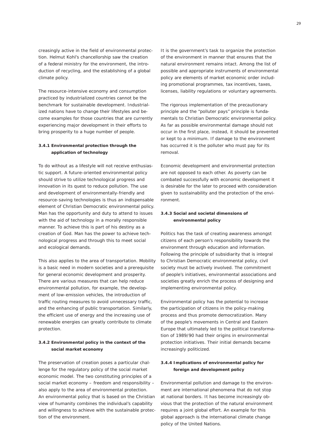creasingly active in the field of environmental protection. Helmut Kohl's chancellorship saw the creation of a federal ministry for the environment, the introduction of recycling, and the establishing of a global climate policy.

The resource-intensive economy and consumption practiced by industrialized countries cannot be the benchmark for sustainable development. Industrialized nations have to change their lifestyles and become examples for those countries that are currently experiencing major development in their efforts to bring prosperity to a huge number of people.

# **3.4.1 Environmental protection through the application of technology**

To do without as a lifestyle will not receive enthusiastic support. A future-oriented environmental policy should strive to utilize technological progress and innovation in its quest to reduce pollution. The use and development of environmentally-friendly and resource-saving technologies is thus an indispensable element of Christian Democratic environmental policy. Man has the opportunity and duty to attend to issues with the aid of technology in a morally responsible manner. To achieve this is part of his destiny as a creation of God. Man has the power to achieve technological progress and through this to meet social and ecological demands.

This also applies to the area of transportation. Mobility is a basic need in modern societies and a prerequisite for general economic development and prosperity. There are various measures that can help reduce environmental pollution, for example, the development of low-emission vehicles, the introduction of traffic routing measures to avoid unnecessary traffic, and the enhancing of public transportation. Similarly, the efficient use of energy and the increasing use of renewable energies can greatly contribute to climate protection.

# **3.4.2 Environmental policy in the context of the social market economy**

The preservation of creation poses a particular challenge for the regulatory policy of the social market economic model. The two constituting principles of a social market economy – freedom and responsibility – also apply to the area of environmental protection. An environmental policy that is based on the Christian view of humanity combines the individual's capability and willingness to achieve with the sustainable protection of the environment.

It is the government's task to organize the protection of the environment in manner that ensures that the natural environment remains intact. Among the list of possible and appropriate instruments of environmental policy are elements of market economic order including promotional programmes, tax incentives, taxes, licenses, liability regulations or voluntary agreements.

The rigorous implementation of the precautionary principle and the "polluter pays" principle is fundamentals to Christian Democratic environmental policy. As far as possible environmental damage should not occur in the first place, instead, it should be prevented or kept to a minimum. If damage to the environment has occurred it is the polluter who must pay for its removal.

Economic development and environmental protection are not opposed to each other. As poverty can be combated successfully with economic development it is desirable for the later to proceed with consideration given to sustainability and the protection of the environment.

# **3.4.3 Social and societal dimensions of environmental policy**

Politics has the task of creating awareness amongst citizens of each person's responsibility towards the environment through education and information. Following the principle of subsidiarity that is integral to Christian Democratic environmental policy, civil society must be actively involved. The commitment of people's initiatives, environmental associations and societies greatly enrich the process of designing and implementing environmental policy.

Environmental policy has the potential to increase the participation of citizens in the policy-making process and thus promote democratization. Many of the people's movements in Central and Eastern Europe that ultimately led to the political transformation of 1989/90 had their origins in environmental protection initiatives. Their initial demands became increasingly politicized.

# **3.4.4 Implications of environmental policy for foreign and development policy**

Environmental pollution and damage to the environment are international phenomena that do not stop at national borders. It has become increasingly obvious that the protection of the natural environment requires a joint global effort. An example for this global approach is the international climate change policy of the United Nations.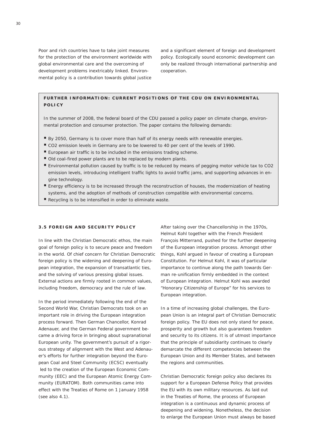Poor and rich countries have to take joint measures for the protection of the environment worldwide with global environmental care and the overcoming of development problems inextricably linked. Environmental policy is a contribution towards global justice

and a significant element of foreign and development policy. Ecologically sound economic development can only be realized through international partnership and cooperation.

# **Further information : Current positions of the CDU on Environmental Policy**

In the summer of 2008, the federal board of the CDU passed a policy paper on climate change, environmental protection and consumer protection. The paper contains the following demands:

- By 2050, Germany is to cover more than half of its energy needs with renewable energies.
- CO2 emission levels in Germany are to be lowered to 40 per cent of the levels of 1990.
- European air traffic is to be included in the emissions trading scheme.
- Old coal-fired power plants are to be replaced by modern plants.
- Environmental pollution caused by traffic is to be reduced by means of pegging motor vehicle tax to CO2 emission levels, introducing intelligent traffic lights to avoid traffic jams, and supporting advances in engine technology.
- Energy efficiency is to be increased through the reconstruction of houses, the modernization of heating systems, and the adoption of methods of construction compatible with environmental concerns.
- Recycling is to be intensified in order to eliminate waste.

#### **3 . 5 Foreign and Security Policy**

In line with the Christian Democratic ethos, the main goal of foreign policy is to secure peace and freedom in the world. Of chief concern for Christian Democratic foreign policy is the widening and deepening of European integration, the expansion of transatlantic ties, and the solving of various pressing global issues. External actions are firmly rooted in common values, including freedom, democracy and the rule of law.

In the period immediately following the end of the Second World War, Christian Democrats took on an important role in driving the European integration process forward. Then German Chancellor, Konrad Adenauer, and the German Federal government became a driving force in bringing about supranational European unity. The government's pursuit of a rigorous strategy of alignment with the West and Adenauer's efforts for further integration beyond the European Coal and Steel Community (ECSC) eventually led to the creation of the European Economic Community (EEC) and the European Atomic Energy Community (EURATOM). Both communities came into effect with the Treaties of Rome on 1 January 1958 (see also 4.1).

After taking over the Chancellorship in the 1970s, Helmut Kohl together with the French President François Mitterrand, pushed for the further deepening of the European integration process. Amongst other things, Kohl argued in favour of creating a European Constitution. For Helmut Kohl, it was of particular importance to continue along the path towards German re-unification firmly embedded in the context of European integration. Helmut Kohl was awarded "Honorary Citizenship of Europe" for his services to European integration.

In a time of increasing global challenges, the European Union is an integral part of Christian Democratic foreign policy. The EU does not only stand for peace, prosperity and growth but also guarantees freedom and security to its citizens. It is of utmost importance that the principle of subsidiarity continues to clearly demarcate the different competencies between the European Union and its Member States, and between the regions and communities.

Christian Democratic foreign policy also declares its support for a European Defense Policy that provides the EU with its own military resources. As laid out in the Treaties of Rome, the process of European integration is a continuous and dynamic process of deepening and widening. Nonetheless, the decision to enlarge the European Union must always be based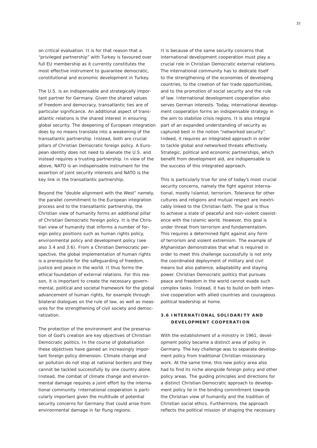on critical evaluation. It is for that reason that a "privileged partnership" with Turkey is favoured over full EU membership as it currently constitutes the most effective instrument to guarantee democratic, constitutional and economic development in Turkey.

The U.S. is an indispensable and strategically important partner for Germany. Given the shared values of freedom and democracy, transatlantic ties are of particular significance. An additional aspect of transatlantic relations is the shared interest in ensuring global security. The deepening of European integration does by no means translate into a weakening of the transatlantic partnership. Instead, both are crucial pillars of Christian Democratic foreign policy. A European identity does not need to alienate the U.S. and instead requires a trusting partnership. In view of the above, NATO is an indispensable instrument for the assertion of joint security interests and NATO is the key link in the transatlantic partnership.

Beyond the "double alignment with the West" namely, the parallel commitment to the European integration process and to the transatlantic partnership, the Christian view of humanity forms an additional pillar of Christian Democratic foreign policy. It is the Christian view of humanity that informs a number of foreign policy positions such as human rights policy, environmental policy and development policy (see also 3.4 and 3.6). From a Christian Democratic perspective, the global implementation of human rights is a prerequisite for the safeguarding of freedom, justice and peace in the world. It thus forms the ethical foundation of external relations. For this reason, it is important to create the necessary governmental, political and societal framework for the global advancement of human rights, for example through bilateral dialogues on the rule of law, as well as measures for the strengthening of civil society and democratization.

The protection of the environment and the preservation of God's creation are key objectives of Christian Democratic politics. In the course of globalisation these objectives have gained an increasingly important foreign policy dimension. Climate change and air pollution do not stop at national borders and they cannot be tackled successfully by one country alone. Instead, the combat of climate change and environmental damage requires a joint effort by the international community. International cooperation is particularly important given the multitude of potential security concerns for Germany that could arise from environmental damage in far flung regions.

It is because of the same security concerns that international development cooperation must play a crucial role in Christian Democratic external relations. The international community has to dedicate itself to the strengthening of the economies of developing countries, to the creation of fair trade opportunities, and to the promotion of social security and the rule of law. International development cooperation also serves German interests. Today, international development cooperation forms an indispensable strategy in the aim to stabilize crisis regions. It is also integral part of an expanded understanding of security as captured best in the notion "networked security". Indeed, it requires an integrated approach in order to tackle global and networked threats effectively. Strategic, political and economic partnerships, which benefit from development aid, are indispensable to the success of this integrated approach.

This is particularly true for one of today's most crucial security concerns, namely the fight against international, mostly Islamist, terrorism. Tolerance for other cultures and religions and mutual respect are inextricably linked to the Christian faith. The goal is thus to achieve a state of peaceful and non-violent coexistence with the Islamic world. However, this goal is under threat from terrorism and fundamentalism. This requires a determined fight against any form of terrorism and violent extremism. The example of Afghanistan demonstrates that what is required in order to meet this challenge successfully is not only the coordinated deployment of military and civil means but also patience, adaptability and staying power. Christian Democratic politics that pursues peace and freedom in the world cannot evade such complex tasks. Instead, it has to build on both intensive cooperation with allied countries and courageous political leadership at home.

# **3 . 6 International solidarity and development cooperation**

With the establishment of a ministry in 1961, development policy became a distinct area of policy in Germany. The key challenge was to separate development policy from traditional Christian missionary work. At the same time, this new policy area also had to find its niche alongside foreign policy and other policy areas. The guiding principles and directions for a distinct Christian Democratic approach to development policy lie in the binding commitment towards the Christian view of humanity and the tradition of Christian social ethics. Furthermore, the approach reflects the political mission of shaping the necessary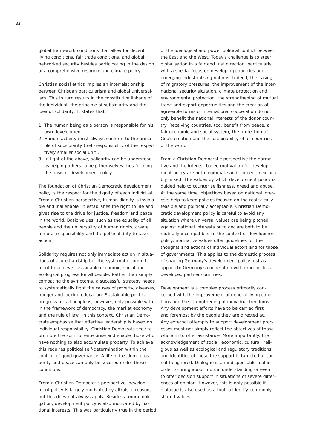global framework conditions that allow for decent living conditions, fair trade conditions, and global networked security besides participating in the design of a comprehensive resource and climate policy.

Christian social ethics implies an interrelationship between Christian particularism and global universalism. This in turn results in the constitutive linkage of the individual, the principle of subsidiarity and the idea of solidarity. It states that:

- 1. The human being as a person is responsible for his own development.
- 2. Human activity must always conform to the principle of subsidiarity (Self-responsibility of the respectively smaller social unit).
- 3. In light of the above, solidarity can be understood as helping others to help themselves thus forming the basis of development policy.

The foundation of Christian Democratic development policy is the respect for the dignity of each individual. From a Christian perspective, human dignity is inviolable and inalienable. It establishes the right to life and gives rise to the drive for justice, freedom and peace in the world. Basic values, such as the equality of all people and the universality of human rights, create a moral responsibility and the political duty to take action.

Solidarity requires not only immediate action in situations of acute hardship but the systematic commitment to achieve sustainable economic, social and ecological progress for all people. Rather than simply combating the symptoms, a successful strategy needs to systematically fight the causes of poverty, diseases, hunger and lacking education. Sustainable political progress for all people is, however, only possible within the framework of democracy, the market economy and the rule of law. In this context, Christian Democrats emphasise that effective leadership is based on individual responsibility. Christian Democrats seek to promote the spirit of enterprise and enable those who have nothing to also accumulate property. To achieve this requires political self-determination within the context of good governance. A life in freedom, prosperity and peace can only be secured under these conditions.

From a Christian Democratic perspective, development policy is largely motivated by altruistic reasons but this does not always apply. Besides a moral obligation, development policy is also motivated by national interests. This was particularly true in the period of the ideological and power political conflict between the East and the West. Today's challenge is to steer globalisation in a fair and just direction, particularly with a special focus on developing countries and emerging industrialising nations. Indeed, the easing of migratory pressures, the improvement of the international security situation, climate protection and environmental protection, the strengthening of mutual trade and export opportunities and the creation of agreeable forms of international cooperation do not only benefit the national interests of the donor country. Receiving countries, too, benefit from peace, a fair economic and social system, the protection of God's creation and the sustainability of all countries of the world.

From a Christian Democratic perspective the normative and the interest-based motivation for development policy are both legitimate and, indeed, inextricably linked. The values by which development policy is guided help to counter selfishness, greed and abuse. At the same time, objections based on national interests help to keep policies focused on the realistically feasible and politically acceptable. Christian Democratic development policy is careful to avoid any situation where universal values are being pitched against national interests or to declare both to be mutually incompatible. In the context of development policy, normative values offer guidelines for the thoughts and actions of individual actors and for those of governments. This applies to the domestic process of shaping Germany's development policy just as it applies to Germany's cooperation with more or less developed partner countries.

Development is a complex process primarily concerned with the improvement of general living conditions and the strengthening of individual freedoms. Any development efforts have to be carried first and foremost by the people they are directed at. Any external attempts to support development processes must not simply reflect the objectives of those who aim to offer assistance. More importantly, the acknowledgement of social, economic, cultural, religious as well as ecological and regulatory traditions and identities of those the support is targeted at cannot be ignored. Dialogue is an indispensable tool in order to bring about mutual understanding or even to offer decision support in situations of severe differences of opinion. However, this is only possible if dialogue is also used as a tool to identify commonly shared values.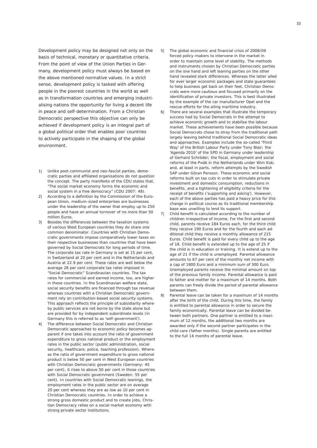<span id="page-30-0"></span>Development policy may be designed not only on the basis of technical, monetary or quantitative criteria. From the point of view of the Union Parties in Germany, development policy must always be based on the above mentioned normative values. In a strict sense, development policy is tasked with offering people in the poorest countries in the world as well as in transformation countries and emerging industrialising nations the opportunity for living a decent life in peace and self-determination. From a Christian Democratic perspective this objective can only be achieved if development policy is an integral part of a global political order that enables poor countries to actively participate in the shaping of the global environment.

- *Unlike post-communist and neo-fascist parties, demo-1| cratic parties and affiliated organisations do not question the concept. The party manifesto of the CDU states that, "The social market economy forms the economic and social system in a free democracy" (CDU 2007: 48).*
- *According to a definition by the Commission of the Euro-2| pean Union, medium-sized enterprises are businesses under the leadership of the owner that employ up to 250 people and have an annual turnover of no more than 50 million Euros.*
- *Besides the differences between the taxation systems 3| of various West European countries they do share one common denominator. Countries with Christian Democratic governments impose comparatively lower taxes on their respective businesses than countries that have been governed by Social Democrats for long periods of time. The corporate tax rate in Germany is set at 15 per cent, in Switzerland at 20 per cent and in the Netherlands and Austria at 22.9 per cent. These rates are well below the average 28 per cent corporate tax rates imposed in "Social Democratic" Scandinavian countries. The tax rates for commercial and earned income, too, are higher in these countries. In the Scandinavian welfare state, social security benefits are financed through tax revenue whereas countries with a Christian Democratic government rely on contribution-based social security systems. This approach reflects the principle of subsidiarity whereby public services are not borne by the state alone but are provided for by independent subordinate levels (in Germany this is referred to as 'self-government').*
- *The difference between Social Democratic and Christian 4| Democratic approaches to economic policy becomes apparent if one takes into account the ratio of government expenditure to gross national product or the employment rates in the public sector (public administration, social security, healthcare, police, teaching profession). Whereas the ratio of government expenditure to gross national product is below 50 per cent in West European countries with Christian Democratic governments (Germany: 45 per cent), it rises to above 50 per cent in those countries with Social Democratic government (Sweden: 55 per cent). In countries with Social Democratic leanings, the employment rates in the public sector are on average 20 per cent whereas they are as low as 10 per cent in Christian Democratic countries. In order to achieve a strong gross domestic product and to create jobs, Christian Democracy relies on a social market economy with strong private sector institutions.*
- *The global economic and financial crisis of 2008/09 5| forced policy-makers to intervene in the market in order to maintain some level of stability. The methods and instruments chosen by Christian Democratic parties on the one hand and left leaning parties on the other hand revealed stark differences. Whereas the latter alled for ever larger economic packages and state guarantees to help business get back on their feet, Christian Democrats were more cautious and focused primarily on the identification of private investors. This is best illustrated by the example of the car manufacturer Opel and the rescue efforts for the ailing maritime industry.*
- *There are several examples that illustrate the temporary 6| success had by Social Democrats in the attempt to achieve economic growth and to stabilise the labour market. These achievements have been possible because Social Democrats chose to stray from the traditional path largely leaving behind traditional Social Democratic ideas and approaches. Examples include the so-called 'Third Way' of the British Labour Party under Tony Blair; the 'Agenda 2010' of the SPD in Germany under leadership of Gerhard Schröder; the fiscal, employment and social reforms of the PvdA in the Netherlands under Wim Kok; and, at least in parts, reform attempts by the Swedish SAP under Göran Persson. These economic and social reforms built on tax cuts in order to stimulate private investment and domestic consumption, reductions in benefits, and a tightening of eligibility criteria for the receipt of benefits ('supporting and asking'). However, each of the above parties has paid a heavy price for this change in political course as its traditional membership base was unwilling to lend its support.*
- *Child benefit is calculated according to the number of children irrespective of income. For the first and second child, parents receive 184 Euros each, for the third child they receive 190 Euros and for the fourth and each additional child they receive a monthly allowance of 215 Euros. Child benefit is paid for every child up to the age of 18. Child benefit is extended up to the age of 25 if the child is in education or training. It is extend up to the age of 21 if the child is unemployed. Parental allowance amounts to 67 per cent of the monthly net income with a cap of 1800 Euro and a minimum sum of 300 Euro. Unemployed parents receive the minimal amount on top of the previous family income. Parental allowance is paid to father and mother for a maximum of 14 months. Both parents can freely divide the period of parental allowance between them. 7|*
- *Parental leave can be taken for a maximum of 14 months after the birth of the child. During this time, the family is entitled to parental allowance in order to secure the family economically. Parental leave can be divided between both partners. One partner is entitled to a maximum of 12 months, the additional two months are awarded only if the second partner participates in the child care (father months). Single parents are entitled to the full 14 months of parental leave. 8|*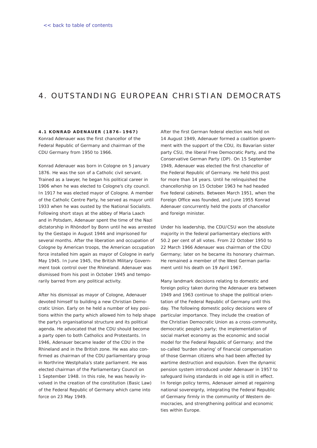# 4. OUTSTANDING EUROPEAN CHRISTIAN DEMOCRATS

**4 . 1 Konrad Adenauer ( 1 8 7 6 – 1 9 6 7 )** Konrad Adenauer was the first chancellor of the Federal Republic of Germany and chairman of the CDU Germany from 1950 to 1966.

Konrad Adenauer was born in Cologne on 5 January 1876. He was the son of a Catholic civil servant. Trained as a lawyer, he began his political career in 1906 when he was elected to Cologne's city council. In 1917 he was elected mayor of Cologne. A member of the Catholic Centre Party, he served as mayor until 1933 when he was ousted by the National Socialists. Following short stays at the abbey of Maria Laach and in Potsdam, Adenauer spent the time of the Nazi dictatorship in Rhöndorf by Bonn until he was arrested by the Gestapo in August 1944 and imprisoned for several months. After the liberation and occupation of Cologne by American troops, the American occupation force installed him again as mayor of Cologne in early May 1945. In June 1945, the British Military Government took control over the Rhineland. Adenauer was dismissed from his post in October 1945 and temporarily barred from any political activity.

After his dismissal as mayor of Cologne, Adenauer devoted himself to building a new Christian Democratic Union. Early on he held a number of key positions within the party which allowed him to help shape the party's organisational structure and its political agenda. He advocated that the CDU should become a party open to both Catholics and Protestants. In 1946, Adenauer became leader of the CDU in the Rhineland and in the British zone. He was also confirmed as chairman of the CDU parliamentary group in Northrine Westphalia's state parliament. He was elected chairman of the Parliamentary Council on 1 September 1948. In this role, he was heavily involved in the creation of the constitution (Basic Law) of the Federal Republic of Germany which came into force on 23 May 1949.

After the first German federal election was held on 14 August 1949, Adenauer formed a coalition government with the support of the CDU, its Bavarian sister party CSU, the liberal Free Democratic Party, and the Conservative German Party (DP). On 15 September 1949, Adenauer was elected the first chancellor of the Federal Republic of Germany. He held this post for more than 14 years. Until he relinquished the chancellorship on 15 October 1963 he had headed five federal cabinets. Between March 1951, when the Foreign Office was founded, and June 1955 Konrad Adenauer concurrently held the posts of chancellor and foreign minister.

Under his leadership, the CDU/CSU won the absolute majority in the federal parliamentary elections with 50.2 per cent of all votes. From 22 October 1950 to 22 March 1966 Adenauer was chairman of the CDU Germany; later on he became its honorary chairman. He remained a member of the West German parliament until his death on 19 April 1967.

Many landmark decisions relating to domestic and foreign policy taken during the Adenauer era between 1949 and 1963 continue to shape the political orientation of the Federal Republic of Germany until this day. The following domestic policy decisions were of particular importance. They include the creation of the Christian Democratic Union as a cross-community, democratic people's party; the implementation of social market economy as the economic and social model for the Federal Republic of Germany; and the so-called 'burden sharing' of financial compensation of those German citizens who had been affected by wartime destruction and expulsion. Even the dynamic pension system introduced under Adenauer in 1957 to safeguard living standards in old age is still in effect. In foreign policy terms, Adenauer aimed at regaining national sovereignty, integrating the Federal Republic of Germany firmly in the community of Western democracies, and strengthening political and economic ties within Europe.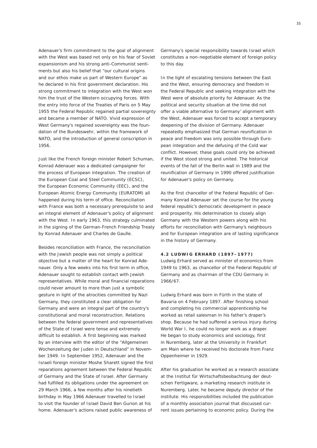Adenauer's firm commitment to the goal of alignment with the West was based not only on his fear of Soviet expansionism and his strong anti-Communist sentiments but also his belief that "our cultural origins and our ethos make us part of Western Europe" as he declared in his first government declaration. His strong commitment to integration with the West won him the trust of the Western occupying forces. With the entry into force of the Treaties of Paris on 5 May 1955 the Federal Republic regained partial sovereignty and became a member of NATO. Vivid expression of West Germany's regained sovereignty was the foundation of the *Bundeswehr*, within the framework of NATO, and the introduction of general conscription in 1956.

Just like the French foreign minister Robert Schuman, Konrad Adenauer was a dedicated campaigner for the process of European integration. The creation of the European Coal and Steel Community (ECSC), the European Economic Community (EEC), and the European Atomic Energy Community (EURATOM) all happened during his term of office. Reconciliation with France was both a necessary prerequisite to and an integral element of Adenauer's policy of alignment with the West. In early 1963, this strategy culminated in the signing of the German-French Friendship Treaty by Konrad Adenauer and Charles de Gaulle.

Besides reconciliation with France, the reconciliation with the Jewish people was not simply a political objective but a matter of the heart for Konrad Adenauer. Only a few weeks into his first term in office, Adenauer sought to establish contact with Jewish representatives. While moral and financial reparations could never amount to more than just a symbolic gesture in light of the atrocities committed by Nazi Germany, they constituted a clear obligation for Germany and were an integral part of the country's constitutional and moral reconstruction. Relations between the federal government and representatives of the State of Israel were tense and extremely difficult to establish. A first beginning was marked by an interview with the editor of the "*Allgemeinen Wochenzeitung der Juden in Deutschland*" in November 1949. In September 1952, Adenauer and the Israeli foreign minister Moshe Sharett signed the first reparations agreement between the Federal Republic of Germany and the State of Israel. After Germany had fulfilled its obligations under the agreement on 29 March 1966, a few months after his ninetieth birthday in May 1966 Adenauer travelled to Israel to visit the founder of Israel David Ben Gurion at his home. Adenauer's actions raised public awareness of

Germany's special responsibility towards Israel which constitutes a non-negotiable element of foreign policy to this day.

In the light of escalating tensions between the East and the West, ensuring democracy and freedom in the Federal Republic and seeking integration with the West were of absolute priority for Adenauer. As the political and security situation at the time did not offer a viable alternative to Germany' alignment with the West, Adenauer was forced to accept a temporary deepening of the division of Germany. Adenauer repeatedly emphasized that German reunification in peace and freedom was only possible through European integration and the defusing of the Cold war conflict. However, these goals could only be achieved if the West stood strong and united. The historical events of the fall of the Berlin wall in 1989 and the reunification of Germany in 1990 offered justification for Adenauer's policy on Germany.

As the first chancellor of the Federal Republic of Germany Konrad Adenauer set the course for the young federal republic's democratic development in peace and prosperity. His determination to closely align Germany with the Western powers along with his efforts for reconciliation with Germany's neighbours and for European integration are of lasting significance in the history of Germany.

### **4 . 2 Ludwig Erhard ( 1 8 9 7 – 1 9 7 7 )**

Ludwig Erhard served as minister of economics from 1949 to 1963, as chancellor of the Federal Republic of Germany and as chairman of the CDU Germany in 1966/67.

Ludwig Erhard was born in Fürth in the state of Bavaria on 4 February 1897. After finishing school and completing his commercial apprenticeship he worked as retail salesman in his father's draper's shop. Because he had suffered a serious injury during World War I, he could no longer work as a draper. He began to study economics and sociology, first in Nuremberg, later at the University in Frankfurt am Main where he received his doctorate from Franz Oppenheimer in 1929.

After his graduation he worked as a research associate at the *Institut für Wirtschaftsbeobachtung der deutschen Fertigware*, a marketing research institute in Nuremberg. Later, he became deputy director of the institute. His responsibilities included the publication of a monthly association journal that discussed current issues pertaining to economic policy. During the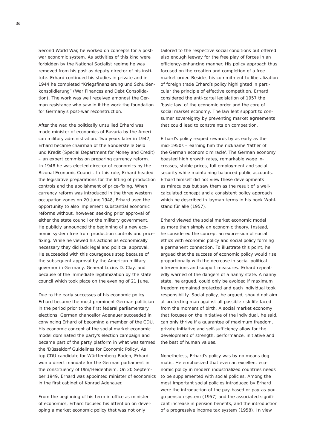Second World War, he worked on concepts for a postwar economic system. As activities of this kind were forbidden by the National Socialist regime he was removed from his post as deputy director of his institute. Erhard continued his studies in private and in 1944 he completed "*Kriegsfinanzierung und Schuldenkonsolidierung*" (War Finances and Debt Consolidation). The work was well received amongst the German resistance who saw in it the work the foundation for Germany's post-war reconstruction.

After the war, the politically unsullied Erhard was made minister of economics of Bavaria by the American military administration. Two years later in 1947, Erhard became chairman of the *Sonderstelle Geld und Kredit* (Special Department for Money and Credit) – an expert commission preparing currency reform. In 1948 he was elected director of economics by the Bizonal Economic Council. In this role, Erhard headed the legislative preparations for the lifting of production controls and the abolishment of price-fixing. When currency reform was introduced in the three western occupation zones on 20 June 1948, Erhard used the opportunity to also implement substantial economic reforms without, however, seeking prior approval of either the state council or the military government. He publicly announced the beginning of a new economic system free from production controls and pricefixing. While he viewed his actions as economically necessary they did lack legal and political approval. He succeeded with this courageous step because of the subsequent approval by the American military governor in Germany, General Lucius D. Clay, and because of the immediate legitimization by the state council which took place on the evening of 21 June.

Due to the early successes of his economic policy Erhard became the most prominent German politician in the period prior to the first federal parliamentary elections. German chancellor Adenauer succeeded in convincing Erhard of becoming a member of the CDU. His economic concept of the social market economic model dominated the party's election campaign and became part of the party platform in what was termed the 'Düsseldorf Guidelines for Economic Policy'. As top CDU candidate for Württemberg-Baden, Erhard won a direct mandate for the German parliament in the constituency of Ulm/Heidenheim. On 20 September 1949, Erhard was appointed minister of economics in the first cabinet of Konrad Adenauer.

From the beginning of his term in office as minister of economics, Erhard focused his attention on developing a market economic policy that was not only

tailored to the respective social conditions but offered also enough leeway for the free play of forces in an efficiency-enhancing manner. His policy approach thus focused on the creation and completion of a free market order. Besides his commitment to liberalization of foreign trade Erhard's policy highlighted in particular the principle of effective competition. Erhard considered the anti-cartel legislation of 1957 the 'basic law' of the economic order and the core of social market economy. The law lent support to consumer sovereignty by preventing market agreements that could lead to constraints on competition.

Erhard's policy reaped rewards by as early as the mid-1950s – earning him the nickname 'father of the German economic miracle'. The German economy boasted high growth rates, remarkable wage increases, stable prices, full employment and social security while maintaining balanced public accounts. Erhard himself did not view these developments as miraculous but saw them as the result of a wellcalculated concept and a consistent policy approach which he described in layman terms in his book *Wohlstand für alle* (1957).

Erhard viewed the social market economic model as more than simply an economic theory. Instead, he considered the concept an expression of social ethics with economic policy and social policy forming a permanent connection. To illustrate this point, he argued that the success of economic policy would rise proportionally with the decrease in social-political interventions and support measures. Erhard repeatedly warned of the dangers of a nanny state. A nanny state, he argued, could only be avoided if maximum freedom remained protected and each individual took responsibility. Social policy, he argued, should not aim at protecting man against all possible risk life faced from the moment of birth. A social market economy that focuses on the initiative of the individual, he said, can only thrive if a guarantee of maximum freedom, private initiative and self-sufficiency allow for the development of strength, performance, initiative and the best of human values.

Nonetheless, Erhard's policy was by no means dogmatic. He emphasized that even an excellent economic policy in modern industrialized countries needs to be supplemented with social policies. Among the most important social policies introduced by Erhard were the introduction of the pay-based or pay-as-yougo pension system (1957) and the associated significant increase in pension benefits, and the introduction of a progressive income tax system (1958). In view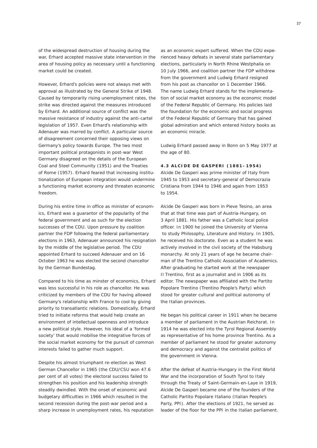of the widespread destruction of housing during the war, Erhard accepted massive state intervention in the area of housing policy as necessary until a functioning market could be created.

However, Erhard's policies were not always met with approval as illustrated by the General Strike of 1948. Caused by temporarily rising unemployment rates, the strike was directed against the measures introduced by Erhard. An additional source of conflict was the massive resistance of industry against the anti-cartel legislation of 1957. Even Erhard's relationship with Adenauer was marred by conflict. A particular source of disagreement concerned their opposing views on Germany's policy towards Europe. The two most important political protagonists in post-war West Germany disagreed on the details of the European Coal and Steel Community (1951) and the Treaties of Rome (1957). Erhard feared that increasing institutionalization of European integration would undermine a functioning market economy and threaten economic freedom.

During his entire time in office as minister of economics, Erhard was a guarantor of the popularity of the federal government and as such for the election successes of the CDU. Upon pressure by coalition partner the FDP following the federal parliamentary elections in 1963, Adenauer announced his resignation by the middle of the legislative period. The CDU appointed Erhard to succeed Adenauer and on 16 October 1963 he was elected the second chancellor by the German Bundestag.

Compared to his time as minster of economics, Erhard was less successful in his role as chancellor. He was criticized by members of the CDU for having allowed Germany's relationship with France to cool by giving priority to transatlantic relations. Domestically, Erhard tried to initiate reforms that would help create an environment of intellectual openness and introduce a new political style. However, his ideal of a 'formed society' that would mobilise the integrative forces of the social market economy for the pursuit of common interests failed to gather much support.

Despite his almost triumphant re-election as West German Chancellor in 1965 (the CDU/CSU won 47.6 per cent of all votes) the electoral success failed to strengthen his position and his leadership strength steadily dwindled. With the onset of economic and budgetary difficulties in 1966 which resulted in the second recession during the post-war period and a sharp increase in unemployment rates, his reputation

as an economic expert suffered. When the CDU experienced heavy defeats in several state parliamentary elections, particularly in North Rhine Westphalia on 10 July 1966, and coalition partner the FDP withdrew from the government and Ludwig Erhard resigned from his post as chancellor on 1 December 1966. The name Ludwig Erhard stands for the implementation of social market economy as the economic model of the Federal Republic of Germany. His policies laid the foundation for the economic and social progress of the Federal Republic of Germany that has gained global admiration and which entered history books as an economic miracle.

Ludwig Erhard passed away in Bonn on 5 May 1977 at the age of 80.

### **4 . 3 Alcide de Gasperi ( 1 8 8 1 – 1 9 5 4 )**

Alcide De Gasperi was prime minister of Italy from 1945 to 1953 and secretary-general of *Democrazia Cristiana* from 1944 to 1946 and again from 1953 to 1954.

Alcide De Gasperi was born in Pieve Tesino, an area that at that time was part of Austria-Hungary, on 3 April 1881. His father was a Catholic local police officer. In 1900 he joined the University of Vienna to study Philosophy, Literature and History. In 1905, he received his doctorate. Even as a student he was actively involved in the civil society of the Habsburg monarchy. At only 21 years of age he became chairman of the Trentino Catholic Association of Academics. After graduating he started work at the newspaper *Il Trentino,* first as a journalist and in 1906 as its editor. The newspaper was affiliated with the *Partito Popolare* Trentino (Trentino People's Party) which stood for greater cultural and political autonomy of the Italian provinces.

He began his political career in 1911 when he became a member of parliament in the Austrian *Reichsrat*. In 1914 he was elected into the Tyrol Regional Assembly as representative of his home province Trentino. As a member of parliament he stood for greater autonomy and democracy and against the centralist politics of the government in Vienna.

After the defeat of Austria-Hungary in the First World War and the incorporation of South Tyrol to Italy through the Treaty of Saint-Germain-en-Laye in 1919, Alcide De Gasperi became one of the founders of the Catholic *Partito Popolare Italiano* (Italian People's Party, PPI). After the elections of 1921, he served as leader of the floor for the PPI in the Italian parliament.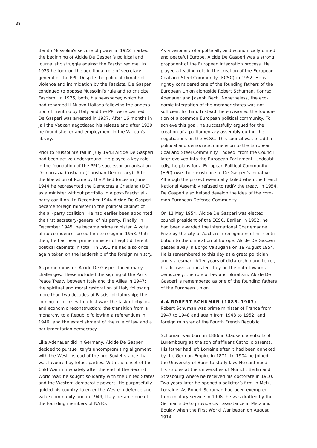Benito Mussolini's seizure of power in 1922 marked the beginning of Alcide De Gasperi's political and journalistic struggle against the Fascist regime. In 1923 he took on the additional role of secretarygeneral of the PPI. Despite the political climate of violence and intimidation by the Fascists, De Gasperi continued to oppose Mussolini's rule and to criticize Fascism. In 1926, both, his newspaper, which he had renamed *Il Nuovo Italiano* following the annexation of Trentino by Italy and the PPI were banned. De Gasperi was arrested in 1927. After 16 months in jail the Vatican negotiated his release and after 1929 he found shelter and employment in the Vatican's library.

Prior to Mussolini's fall in July 1943 Alcide De Gasperi had been active underground. He played a key role in the foundation of the PPI's successor organisation *Democrazia Cristiana* (Christian Democracy). After the liberation of Rome by the Allied forces in June 1944 he represented the *Democrazia Cristiana* (DC) as a minister without portfolio in a post-Fascist allparty coalition. In December 1944 Alcide De Gasperi became foreign minister in the political cabinet of the all-party coalition. He had earlier been appointed the first secretary-general of his party. Finally, in December 1945, he became prime minister. A vote of no confidence forced him to resign in 1953. Until then, he had been prime minister of eight different political cabinets in total. In 1951 he had also once again taken on the leadership of the foreign ministry.

As prime minister, Alcide De Gasperi faced many challenges. These included the signing of the Paris Peace Treaty between Italy and the Allies in 1947; the spiritual and moral restoration of Italy following more than two decades of Fascist dictatorship; the coming to terms with a lost war; the task of physical and economic reconstruction; the transition from a monarchy to a Republic following a referendum in 1946; and the establishment of the rule of law and a parliamentarian democracy.

Like Adenauer did in Germany, Alcide De Gasperi decided to pursue Italy's uncompromising alignment with the West instead of the pro-Soviet stance that was favoured by leftist parties. With the onset of the Cold War immediately after the end of the Second World War, he sought solidarity with the United States and the Western democratic powers. He purposefully guided his country to enter the Western defence and value community and in 1949, Italy became one of the founding members of NATO.

As a visionary of a politically and economically united and peaceful Europe, Alcide De Gasperi was a strong proponent of the European integration process. He played a leading role in the creation of the European Coal and Steel Community (ECSC) in 1952. He is rightly considered one of the founding fathers of the European Union alongside Robert Schuman, Konrad Adenauer and Joseph Bech. Nonetheless, the economic integration of the member states was not sufficient for him. Instead, he envisioned the foundation of a common European political community. To achieve this goal, he successfully argued for the creation of a parliamentary assembly during the negotiations on the ECSC. This council was to add a political and democratic dimension to the European Coal and Steel Community. Indeed, from the Council later evolved into the European Parliament. Undoubtedly, he plans for a European Political Community (EPC) owe their existence to De Gasperi's initiative. Although the project eventually failed when the French National Assembly refused to ratify the treaty in 1954, De Gasperi also helped develop the idea of the common European Defence Community.

On 11 May 1954, Alcide De Gasperi was elected council president of the ECSC. Earlier, in 1952, he had been awarded the international Charlemagne Prize by the city of Aachen in recognition of his contribution to the unification of Europe. Alcide De Gasperi passed away in Borgo Valsugana on 19 August 1954. He is remembered to this day as a great politician and statesman. After years of dictatorship and terror, his decisive actions led Italy on the path towards democracy, the rule of law and pluralism. Alcide De Gasperi is remembered as one of the founding fathers of the European Union.

#### **4 . 4 Robert Schuman ( 1 8 8 6 – 1 9 6 3 )**

Robert Schuman was prime minister of France from 1947 to 1948 and again from 1948 to 1952, and foreign minister of the Fourth French Republic.

Schuman was born in 1886 in Clausen, a suburb of Luxembourg as the son of affluent Catholic parents. His father had left Lorraine after it had been annexed by the German Empire in 1871. In 1904 he joined the University of Bonn to study law. He continued his studies at the universities of Munich, Berlin and Strasbourg where he received his doctorate in 1910. Two years later he opened a solicitor's firm in Metz, Lorraine. As Robert Schuman had been exempted from military service in 1908, he was drafted by the German side to provide civil assistance in Metz and Boulay when the First World War began on August 1914.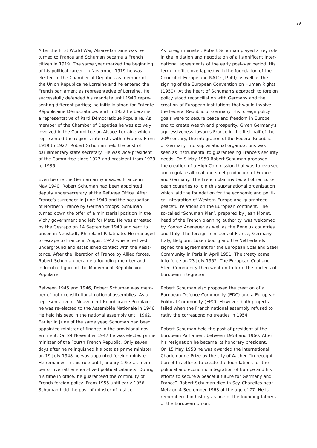After the First World War, Alsace-Lorraine was returned to France and Schuman became a French citizen in 1919. The same year marked the beginning of his political career. In November 1919 he was elected to the Chamber of Deputies as member of the *Union Républicaine Lorraine* and he entered the French parliament as representative of Lorraine. He successfully defended his mandate until 1940 representing different parties; he initially stood for *Entente Républicaine Démocratique*, and in 1932 he became a representative of *Parti Démocratique Populaire*. As member of the Chamber of Deputies he was actively involved in the Committee on Alsace-Lorraine which represented the region's interests within France. From 1919 to 1927, Robert Schuman held the post of parliamentary state secretary. He was vice-president of the Committee since 1927 and president from 1929 to 1936.

Even before the German army invaded France in May 1940, Robert Schuman had been appointed deputy undersecretary at the Refugee Office. After France's surrender in June 1940 and the occupation of Northern France by German troops, Schuman turned down the offer of a ministerial position in the Vichy government and left for Metz. He was arrested by the *Gestapo* on 14 September 1940 and sent to prison in Neustadt, Rhineland-Palatinate. He managed to escape to France in August 1942 where he lived underground and established contact with the *Résistance.* After the liberation of France by Allied forces, Robert Schuman became a founding member and influential figure of the *Mouvement Républicaine Populaire*.

Between 1945 and 1946, Robert Schuman was member of both constitutional national assemblies. As a representative of *Mouvement Républicaine Populaire* he was re-elected to the *Assemblée Nationale* in 1946. He held his seat in the national assembly until 1962. Earlier in June of the same year, Schuman had been appointed minister of finance in the provisional government. On 24 November 1947 he was elected prime minister of the Fourth French Republic. Only seven days after he relinquished his post as prime minister on 19 July 1948 he was appointed foreign minister. He remained in this role until January 1953 as member of five rather short-lived political cabinets. During his time in office, he guaranteed the continuity of French foreign policy. From 1955 until early 1956 Schuman held the post of minster of justice.

As foreign minister, Robert Schuman played a key role in the initiation and negotiation of all significant international agreements of the early post-war period. His term in office overlapped with the foundation of the Council of Europe and NATO (1949) as well as the signing of the European Convention on Human Rights (1950). At the heart of Schuman's approach to foreign policy stood reconciliation with Germany and the creation of European institutions that would involve the Federal Republic of Germany. His foreign policy goals were to secure peace and freedom in Europe and to create wealth and prosperity. Given Germany's aggressiveness towards France in the first half of the 20<sup>th</sup> century, the integration of the Federal Republic of Germany into supranational organizations was seen as instrumental to guaranteeing France's security needs. On 9 May 1950 Robert Schuman proposed the creation of a High Commission that was to oversee and regulate all coal and steel production of France and Germany. The French plan invited all other European countries to join this supranational organization which laid the foundation for the economic and political integration of Western Europe and guaranteed peaceful relations on the European continent. The so-called "Schuman Plan", prepared by Jean Monet, head of the French planning authority, was welcomed by Konrad Adenauer as well as the Benelux countries and Italy. The foreign ministers of France, Germany, Italy, Belgium, Luxembourg and the Netherlands signed the agreement for the European Coal and Steel Community in Paris in April 1951. The treaty came into force on 23 July 1952. The European Coal and Steel Community then went on to form the nucleus of European integration.

Robert Schuman also proposed the creation of a European Defence Community (EDC) and a European Political Community (EPC). However, both projects failed when the French national assembly refused to ratify the corresponding treaties in 1954.

Robert Schuman held the post of president of the European Parliament between 1958 and 1960. After his resignation he became its honorary president. On 15 May 1958 he was awarded the international Charlemagne Prize by the city of Aachen "in recognition of his efforts to create the foundations for the political and economic integration of Europe and his efforts to secure a peaceful future for Germany and France". Robert Schuman died in Scy-Chazelles near Metz on 4 September 1963 at the age of 77. He is remembered in history as one of the founding fathers of the European Union.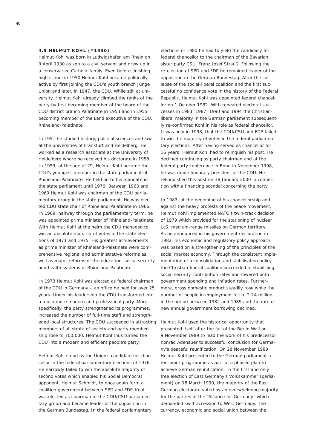#### **4 . 5 Helmut Kohl ( \* 1 9 3 0 )**

Helmut Kohl was born in Ludwigshafen am Rhein on 3 April 1930 as son to a civil servant and grew up in a conservative Catholic family. Even before finishing high school in 1950 Helmut Kohl became politically active by first joining the CDU's youth branch *Junge Union* and later, in 1947, the CDU. While still at university, Helmut Kohl already climbed the ranks of the party by first becoming member of the board of the CDU district branch Palatinate in 1953 and in 1955 becoming member of the Land executive of the CDU, Rhineland-Palatinate.

In 1951 he studied history, political sciences and law at the universities of Frankfurt and Heidelberg. He worked as a research associate at the University of Heidelberg where he received his doctorate in 1958. In 1959, at the age of 29, Helmut Kohl became the CDU's youngest member in the state parliament of Rhineland-Palatinate. He held on to his mandate in the state parliament until 1976. Between 1963 and 1969 Helmut Kohl was chairman of the CDU parliamentary group in the state parliament. He was elected CDU state chair of Rhineland-Palatinate in 1966. In 1969, halfway through the parliamentary term, he was appointed prime minister of Rhineland-Palatinate. With Helmut Kohl at the helm the CDU managed to win an absolute majority of votes in the state elections of 1971 and 1975. His greatest achievements as prime minister of Rhineland-Palatinate were comprehensive regional and administrative reforms as well as major reforms of the education, social security and health systems of Rhineland-Palatinate.

In 1973 Helmut Kohl was elected as federal chairman of the CDU in Germany – an office he held for over 25 years. Under his leadership the CDU transformed into a much more modern and professional party. More specifically, the party strengthened its programmes, increased the number of full-time staff and strengthened local structures. The CDU succeeded in attracting members of all strata of society and party membership rose to 700,000. Helmut Kohl thus turned the CDU into a modern and efficient people's party.

Helmut Kohl stood as the Union's candidate for chancellor in the federal parliamentary elections of 1976. He narrowly failed to win the absolute majority of second votes which enabled his Social Democrat opponent, Helmut Schmidt, to once again form a coalition government between SPD and FDP. Kohl was elected as chairman of the CDU/CSU parliamentary group and became leader of the opposition in the German *Bundestag*. In the federal parliamentary

elections of 1980 he had to yield the candidacy for federal chancellor to the chairman of the Bavarian sister party CSU, Franz Josef Strauß. Following the re-election of SPD and FDP he remained leader of the opposition in the German *Bundestag*. After the collapse of the social-liberal coalition and the first successful no confidence vote in the history of the Federal Republic, Helmut Kohl was appointed federal chancellor on 1 October 1982. With repeated electoral successes in 1983, 1987, 1990 and 1994 the Christianliberal majority in the German parliament subsequently re-confirmed Kohl in his role as federal chancellor. It was only in 1998, that the CDU/CSU and FDP failed to win the majority of votes in the federal parliamentary elections. After having served as chancellor for 16 years, Helmut Kohl had to relinquish his post. He declined continuing as party chairman and at the federal party conference in Bonn in November 1998, he was made honorary president of the CDU. He relinquished this post on 18 January 2000 in connection with a financing scandal concerning the party.

In 1983, at the beginning of his chancellorship and against the heavy protests of the peace movement, Helmut Kohl implemented NATO's twin-track decision of 1979 which provided for the stationing of nuclear U.S. medium-range missiles on German territory. As he announced in his government declaration in 1982, his economic and regulatory policy approach was based on a strengthening of the principles of the social market economy. Through the consistent implementation of a consolidation and stabilisation policy, the Christian-liberal coalition succeeded in stabilising social security contribution rates and lowered both government spending and inflation rates. Furthermore, gross domestic product steadily rose while the number of people in employment fell to 2.24 million in the period between 1982 and 1989 and the rate of new annual government borrowing declined.

Helmut Kohl used the historical opportunity that presented itself after the fall of the Berlin Wall on 9 November 1989 to lead the work of his predecessor Konrad Adenauer to successful conclusion for Germany's peaceful reunification. On 28 November 1989 Helmut Kohl presented to the German parliament a ten-point programme as part of a phased plan to achieve German reunification. In the first and only free election of East Germany's *Volkskammer* (parliament) on 18 March 1990, the majority of the East German electorate voted by an overwhelming majority for the parties of the "Alliance for Germany" which demanded swift accession to West Germany. The currency, economic and social union between the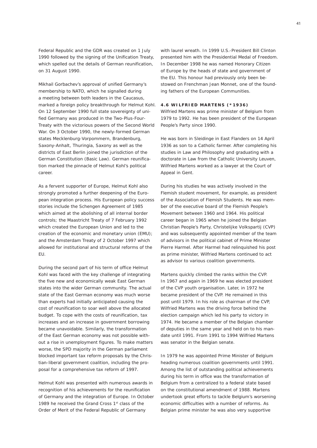Federal Republic and the GDR was created on 1 July 1990 followed by the signing of the Unification Treaty, which spelled out the details of German reunification, on 31 August 1990.

Mikhail Gorbachev's approval of unified Germany's membership to NATO, which he signalled during a meeting between both leaders in the Caucasus, marked a foreign policy breakthrough for Helmut Kohl. On 12 September 1990 full state sovereignty of unified Germany was produced in the Two-Plus-Four-Treaty with the victorious powers of the Second World War. On 3 October 1990, the newly-formed German states Mecklenburg-Vorpommern, Brandenburg, Saxony-Anhalt, Thuringia, Saxony as well as the districts of East Berlin joined the jurisdiction of the German Constitution (Basic Law). German reunification marked the pinnacle of Helmut Kohl's political career.

As a fervent supporter of Europe, Helmut Kohl also strongly promoted a further deepening of the European integration process. His European policy success stories include the Schengen Agreement of 1985 which aimed at the abolishing of all internal border controls; the Maastricht Treaty of 7 February 1992 which created the European Union and led to the creation of the economic and monetary union (EMU); and the Amsterdam Treaty of 2 October 1997 which allowed for institutional and structural reforms of the EU.

During the second part of his term of office Helmut Kohl was faced with the key challenge of integrating the five new and economically weak East German states into the wider German community. The actual state of the East German economy was much worse than experts had initially anticipated causing the cost of reunification to soar well above the allocated budget. To cope with the costs of reunification, tax increases and an increase in government borrowing became unavoidable. Similarly, the transformation of the East German economy was not possible without a rise in unemployment figures. To make matters worse, the SPD majority in the German parliament blocked important tax reform proposals by the Christian-liberal government coalition, including the proposal for a comprehensive tax reform of 1997.

Helmut Kohl was presented with numerous awards in recognition of his achievements for the reunification of Germany and the integration of Europe. In October 1989 he received the Grand Cross 1<sup>st</sup> class of the Order of Merit of the Federal Republic of Germany

with laurel wreath. In 1999 U.S.-President Bill Clinton presented him with the Presidential Medal of Freedom. In December 1998 he was named Honorary Citizen of Europe by the heads of state and government of the EU. This honour had previously only been bestowed on Frenchman Jean Monnet, one of the founding fathers of the European Communities.

#### **4 . 6 Wilfried Martens ( \* 1 9 3 6 )**

Wilfried Martens was prime minister of Belgium from 1979 to 1992. He has been president of the European People's Party since 1990.

He was born in Sleidinge in East Flanders on 14 April 1936 as son to a Catholic farmer. After completing his studies in Law and Philosophy and graduating with a doctorate in Law from the Catholic University Leuven, Wilfried Martens worked as a lawyer at the Court of Appeal in Gent.

During his studies he was actively involved in the Flemish student movement, for example, as president of the Association of Flemish Students. He was member of the executive board of the Flemish People's Movement between 1960 and 1964. His political career began in 1965 when he joined the Belgian Christian People's Party, *Christelijke Volkspartij* (CVP) and was subsequently appointed member of the team of advisors in the political cabinet of Prime Minister Pierre Harmel. After Harmel had relinquished his post as prime minister, Wilfried Martens continued to act as advisor to various coalition governments.

Martens quickly climbed the ranks within the CVP. In 1967 and again in 1969 he was elected president of the CVP youth organisation. Later, in 1972 he became president of the CVP. He remained in this post until 1979. In his role as chairman of the CVP, Wilfried Martens was the driving force behind the election campaign which led his party to victory in 1974. He became a member of the Belgian chamber of deputies in the same year and held on to his mandate until 1991. From 1991 to 1994 Wilfried Martens was senator in the Belgian senate.

In 1979 he was appointed Prime Minister of Belgium heading numerous coalition governments until 1991. Among the list of outstanding political achievements during his term in office was the transformation of Belgium from a centralized to a federal state based on the constitutional amendment of 1988. Martens undertook great efforts to tackle Belgium's worsening economic difficulties with a number of reforms. As Belgian prime minister he was also very supportive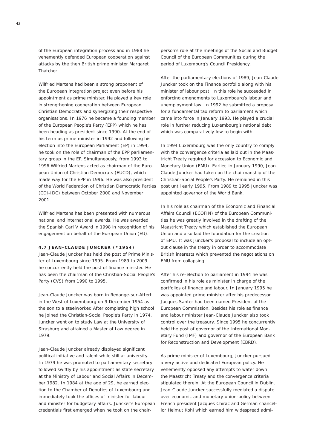of the European integration process and in 1988 he vehemently defended European cooperation against attacks by the then British prime minister Margaret Thatcher.

Wilfried Martens had been a strong proponent of the European integration project even before his appointment as prime minister. He played a key role in strengthening cooperation between European Christian Democrats and synergizing their respective organisations. In 1976 he became a founding member of the European People's Party (EPP) which he has been heading as president since 1990. At the end of his term as prime minister in 1992 and following his election into the European Parliament (EP) in 1994, he took on the role of chairman of the EPP parliamentary group in the EP. Simultaneously, from 1993 to 1996 Wilfried Martens acted as chairman of the European Union of Christian Democrats (EUCD), which made way for the EPP in 1996. He was also president of the World Federation of Christian Democratic Parties (CDI-IDC) between October 2000 and November 2001.

Wilfried Martens has been presented with numerous national and international awards. He was awarded the Spanish Carl V Award in 1998 in recognition of his engagement on behalf of the European Union (EU).

### **4 . 7 Jean -Claude Juncker ( \* 1 9 5 4 )**

Jean-Claude Juncker has held the post of Prime Minister of Luxembourg since 1995. From 1989 to 2009 he concurrently held the post of finance minister. He has been the chairman of the Christian-Social People's Party (CVS) from 1990 to 1995.

Jean-Claude Juncker was born in Redange-sur-Attert in the West of Luxembourg on 9 December 1954 as the son to a steelworker. After completing high school he joined the Christian-Social People's Party in 1974. Juncker went on to study Law at the University of Strasburg and attained a Master of Law degree in 1979.

Jean-Claude Juncker already displayed significant political initiative and talent while still at university. In 1979 he was promoted to parliamentary secretary followed swiftly by his appointment as state secretary at the Ministry of Labour and Social Affairs in December 1982. In 1984 at the age of 29, he earned election to the Chamber of Deputies of Luxembourg and immediately took the offices of minister for labour and minister for budgetary affairs. Juncker's European credentials first emerged when he took on the chairperson's role at the meetings of the Social and Budget Council of the European Communities during the period of Luxemburg's Council Presidency.

After the parliamentary elections of 1989, Jean-Claude Juncker took on the Finance portfolio along with his minister of labour post. In this role he succeeded in enforcing amendments to Luxembourg's labour and unemployment law. In 1992 he submitted a proposal for a fundamental tax reform to parliament which came into force in January 1993. He played a crucial role in further reducing Luxembourg's national debt which was comparatively low to begin with.

In 1994 Luxembourg was the only country to comply with the convergence criteria as laid out in the Maastricht Treaty required for accession to Economic and Monetary Union (EMU). Earlier, in January 1990, Jean-Claude Juncker had taken on the chairmanship of the Christian-Social People's Party. He remained in this post until early 1995. From 1989 to 1995 Juncker was appointed governor of the World Bank.

In his role as chairman of the Economic and Financial Affairs Council (ECOFIN) of the European Communities he was greatly involved in the drafting of the Maastricht Treaty which established the European Union and also laid the foundation for the creation of EMU. It was Juncker's proposal to include an optout clause in the treaty in order to accommodate British interests which prevented the negotiations on EMU from collapsing.

After his re-election to parliament in 1994 he was confirmed in his role as minister in charge of the portfolios of finance and labour. In January 1995 he was appointed prime minister after his predecessor Jacques Santer had been named President of the European Commission. Besides his role as finance and labour minister Jean-Claude Juncker also took control over the treasury. Since 1995 he concurrently held the post of governor of the International Monetary Fund (IMF) and governor of the European Bank for Reconstruction and Development (EBRD).

As prime minister of Luxembourg, Juncker pursued a very active and dedicated European policy. He vehemently opposed any attempts to water down the Maastricht Treaty and the convergence criteria stipulated therein. At the European Council in Dublin, Jean-Claude Juncker successfully mediated a dispute over economic and monetary union-policy between French president Jacques Chirac and German chancellor Helmut Kohl which earned him widespread admi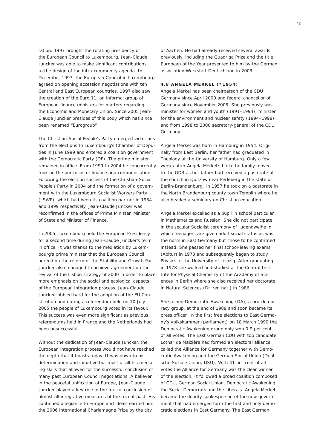ration. 1997 brought the rotating presidency of the European Council to Luxembourg. Jean-Claude Juncker was able to make significant contributions to the design of the intra-community agenda. In December 1997, the European Council in Luxembourg agreed on opening accession negotiations with ten Central and East European countries. 1997 also saw the creation of the *Euro 11*, an informal group of European finance ministers for matters regarding the Economic and Monetary Union. Since 2005 Jean-Claude Juncker presides of this body which has since been renamed "Eurogroup".

The Christian-Social People's Party emerged victorious from the elections to Luxembourg's Chamber of Deputies in June 1999 and entered a coalition government with the Democratic Party (DP). The prime minister remained in office. From 1999 to 2004 he concurrently took on the portfolios of finance and communication. Following the election success of the Christian-Social People's Party in 2004 and the formation of a government with the Luxembourg Socialist Workers Party (LSWP), which had been its coalition partner in 1984 and 1999 respectively, Jean-Claude Juncker was reconfirmed in the offices of Prime Minister, Minister of State and Minister of Finance.

In 2005, Luxembourg held the European Presidency for a second time during Jean-Claude Juncker's term in office. It was thanks to the mediation by Luxembourg's prime minister that the European Council agreed on the reform of the Stability and Growth Pact. Juncker also managed to achieve agreement on the revival of the Lisbon strategy of 2000 in order to place more emphasis on the social and ecological aspects of the European integration process. Jean-Claude Juncker lobbied hard for the adoption of the EU Constitution and during a referendum held on 10 July 2005 the people of Luxembourg voted in its favour. This success was even more significant as previous referendums held in France and the Netherlands had been unsuccessful.

Without the dedication of Jean-Claude Juncker, the European integration process would not have reached the depth that it boasts today. It was down to his determination and initiative but most of all his mediating skills that allowed for the successful conclusion of many past European Council negotiations. A believer in the peaceful unification of Europe, Jean-Claude Juncker played a key role in the fruitful conclusion of almost all integrative measures of the recent past. His continued allegiance to Europe and ideals earned him the 2006 international Charlemagne Prize by the city

of Aachen. He had already received several awards previously, including the Quadriga Prize and the title European of the Year presented to him by the German association *Werkstatt Deutschland* in 2003.

#### **4 . 8 Angela Merkel ( \* 1 9 5 4 )**

Angela Merkel has been chairperson of the CDU Germany since April 2000 and federal chancellor of Germany since November 2005. She previously was minister for women and youth (1991–1994), minister for the environment and nuclear safety (1994–1998) and from 1998 to 2000 secretary-general of the CDU Germany.

Angela Merkel was born in Hamburg in 1954. Originally from East Berlin, her father had graduated in Theology at the University of Hamburg. Only a few weeks after Angela Merkel's birth the family moved to the GDR as her father had received a pastorate at the church in Quitzow near Perleberg in the state of Berlin-Brandenburg. In 1957 he took on a pastorate in the North Brandenburg county town Templin where he also headed a seminary on Christian education.

Angela Merkel excelled as a pupil in school particular in Mathematics and Russian. She did not participate in the secular Socialist ceremony of *Jugendweihe* in which teenagers are given adult social status as was the norm in East Germany but chose to be confirmed instead. She passed her final school-leaving exams (*Abitur*) in 1973 and subsequently began to study Physics at the University of Leipzig. After graduating in 1978 she worked and studied at the Central Institute for Physical Chemistry of the Academy of Sciences in Berlin where she also received her doctorate in Natural Sciences (Dr. rer. nat.) in 1986.

She joined Democratic Awakening (DA), a pro-democracy group, at the end of 1989 and soon became its press officer. In the first free elections to East Germany's *Volkskammer* (parliament) on 18 March 1990 the Democratic Awakening group only won 0.9 per cent of all votes. The East German CDU with top candidate Lothar de Maizière had formed an electoral alliance called the Alliance for Germany together with Democratic Awakening and the German Social Union (*Deutsche Soziale Union*, DSU). With 41 per cent of all votes the Alliance for Germany was the clear winner of the election. It followed a broad coalition composed of CDU, German Social Union, Democratic Awakening, the Social Democrats and the Liberals. Angela Merkel became the deputy spokesperson of the new government that had emerged form the first and only democratic elections in East Germany. The East German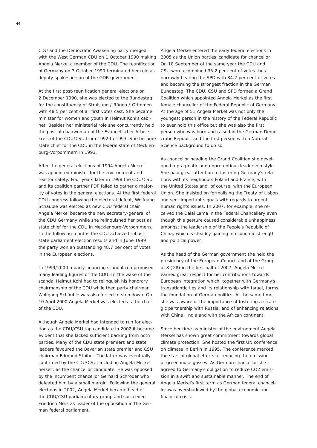CDU and the Democratic Awakening party merged with the West German CDU on 1 October 1990 making Angela Merkel a member of the CDU. The reunification of Germany on 3 October 1990 terminated her role as deputy spokesperson of the GDR government.

At the first post-reunification general elections on 2 December 1990, she was elected to the *Bundestag* for the constituency of Stralsund / Rügen / Grimmen with 48.5 per cent of all first votes cast. She became minister for women and youth in Helmut Kohl's cabinet. Besides her ministerial role she concurrently held the post of chairwoman of the *Evangelischer Arbeitskreis* of the CDU/CSU from 1992 to 1993. She became state chief for the CDU in the federal state of Mecklenburg-Vorpommern in 1993.

After the general elections of 1994 Angela Merkel was appointed minister for the environment and reactor safety. Four years later in 1998 the CDU/CSU and its coalition partner FDP failed to gather a majority of votes in the general elections. At the first federal CDU congress following the electoral defeat, Wolfgang Schäuble was elected as new CDU federal chair. Angela Merkel became the new secretary-general of the CDU Germany while she relinquished her post as state chief for the CDU in Mecklenburg-Vorpommern. In the following months the CDU achieved robust state parliament election results and in June 1999 the party won an outstanding 48.7 per cent of votes in the European elections.

In 1999/2000 a party financing scandal compromised many leading figures of the CDU. In the wake of the scandal Helmut Kohl had to relinquish his honorary chairmanship of the CDU while then party chairman Wolfgang Schäuble was also forced to step down. On 10 April 2000 Angela Merkel was elected as the chair of the CDU.

Although Angela Merkel had intended to run for election as the CDU/CSU top candidate in 2002 it became evident that she lacked sufficient backing from both parties. Many of the CDU state premiers and state leaders favoured the Bavarian state premier and CSU chairman Edmund Stoiber. The latter was eventually confirmed by the CDU/CSU, including Angela Merkel herself, as the chancellor candidate. He was opposed by the incumbent chancellor Gerhard Schröder who defeated him by a small margin. Following the general elections in 2002, Angela Merkel became head of the CDU/CSU parliamentary group and succeeded Friedrich Merz as leader of the opposition in the German federal parliament.

Angela Merkel entered the early federal elections in 2005 as the Union parties' candidate for chancellor. On 18 September of the same year the CDU and CSU won a combined 35.2 per cent of votes thus narrowly beating the SPD with 34.2 per cent of votes and becoming the strongest fraction in the German *Bundestag*. The CDU, CSU and SPD formed a Grand Coalition which appointed Angela Merkel as the first female chancellor of the Federal Republic of Germany. At the age of 51 Angela Merkel was not only the youngest person in the history of the Federal Republic to ever hold this office but she was also the first person who was born and raised in the German Democratic Republic and the first person with a Natural Science background to do so.

As chancellor heading the Grand Coalition she developed a pragmatic and unpretentious leadership style. She paid great attention to fostering Germany's relations with its neighbours Poland and France, with the United States and, of course, with the European Union. She insisted on formalising the Treaty of Lisbon and sent important signals with regards to urgent human rights issues. In 2007, for example, she received the Dalai Lama in the Federal Chancellery even though this gesture caused considerable unhappiness amongst the leadership of the People's Republic of China, which is steadily gaining in economic strength and political power.

As the head of the German government she held the presidency of the European Council and of the Group of 8 (G8) in the first half of 2007. Angela Merkel earned great respect for her contributions towards European integration which, together with Germany's transatlantic ties and its relationship with Israel, forms the foundation of German politics. At the same time, she was aware of the importance of fostering a strategic partnership with Russia, and of enhancing relations with China, India and with the African continent.

Since her time as minister of the environment Angela Merkel has shown great commitment towards global climate protection. She hosted the first UN conference on climate in Berlin in 1995. The conference marked the start of global efforts at reducing the emission of greenhouse gasses. As German chancellor she agreed to Germany's obligation to reduce CO2 emission in a swift and sustainable manner. The end of Angela Merkel's first term as German federal chancellor was overshadowed by the global economic and financial crisis.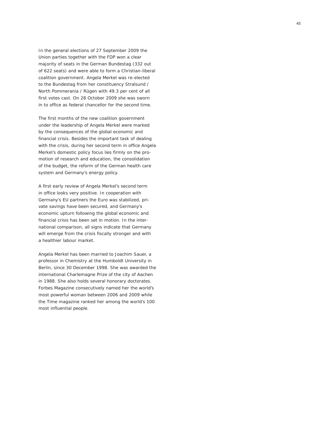In the general elections of 27 September 2009 the Union parties together with the FDP won a clear majority of seats in the German *Bundestag* (332 out of 622 seats) and were able to form a Christian-liberal coalition government. Angela Merkel was re-elected to the *Bundestag* from her constituency Stralsund / North Pommerania / Rügen with 49.3 per cent of all first votes cast. On 28 October 2009 she was sworn in to office as federal chancellor for the second time. The first months of the new coalition government

under the leadership of Angela Merkel were marked by the consequences of the global economic and financial crisis. Besides the important task of dealing with the crisis, during her second term in office Angela Merkel's domestic policy focus lies firmly on the pro motion of research and education, the consolidation of the budget, the reform of the German health care system and Germany's energy policy.

A first early review of Angela Merkel's second term in office looks very positive. In cooperation with Germany's EU partners the Euro was stabilized, pri vate savings have been secured, and Germany's economic upturn following the global economic and financial crisis has been set in motion. In the international comparison, all signs indicate that Germany will emerge from the crisis fiscally stronger and with

a healthier labour market.<br>Angela Merkel has been married to Joachim Sauer, a professor in Chemistry at the Humboldt University in Berlin, since 30 December 1998. She was awarded the international Charlemagne Prize of the city of Aachen in 1988. She also holds several honorary doctorates. *Forbes Magazine* consecutively named her the world's most powerful woman between 2006 and 2009 while the *Time* magazine ranked her among the world's 100 most influential people.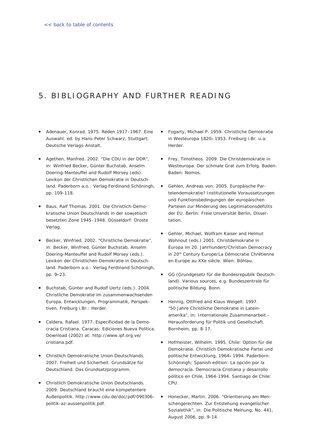# <span id="page-43-0"></span>5. BIBLIOGRAPHY AND FURTHER READING

- *Adenauer, Konrad. 1975. Reden 1917–1967. Eine Auswahl. ed. by Hans-Peter Schwarz, Stuttgart: Deutsche Verlags-Anstalt.*
- *Agethen, Manfred. 2002. "Die CDU in der DDR", in: Winfried Becker, Günter Buchstab, Anselm Doering-Manteuffel and Rudolf Morsey (eds). Lexikon der Christlichen Demokratie in Deutschland. Paderborn a.o.: Verlag Ferdinand Schöningh, pp. 109-118.*
- *Baus, Ralf Thomas. 2001. Die Christlich-Demo kratische Union Deutschlands in der sowjetisch besetzten Zone 1945–1948. Düsseldorf: Droste Verlag.*
- *Becker, Winfried. 2002. "Christliche Demokratie", in: Becker, Winfried, Günter Buchstab, Anselm Doering-Manteuffel and Rudolf Morsey (eds.). Lexikon der Christlichen Demokratie in Deutschland. Paderborn a.o.: Verlag Ferdinand Schöningh, pp. 9***-***23.*
- *Buchstab, Günter and Rudolf Uertz (eds.). 2004. Christliche Demokratie im zusammenwachsenden Europa. Entwicklungen, Programmatik, Perspektiven. Freiburg i.Br.: Herder.*
- *Caldera, Rafael. 1977. Especificidad de la Demo cracia Cristiana. Caracas: Ediciones Nueva Política. Download (2002) at: http://www.ipf.org.ve/ cristiana.pdf.*
- *Christlich Demokratische Union Deutschlands. 2007. Freiheit und Sicherheit. Grundsätze für Deutschland. Das Grundsatzprogramm.*
- *Christlich Demokratische Union Deutschlands. 2009. Deutschland braucht eine kompetentere Außenpolitik. http://www.cdu.de/doc/pdf/090306 politik-az-aussenpolitik.pdf.*
- *Fogarty, Michael P. 1959. Christliche Demokratie in Westeuropa 1820***–***1953. Freiburg i.Br. u.a: Herder.*   $\mathbf{u}$  .
- *Frey, Timotheos. 2009. Die Christdemokratie in Westeuropa. Der schmale Grat zum Erfolg. Baden-Baden: Nomos.*
- *Gehlen, Andreas von. 2005. Europäische Parteiendemokratie? Institutionelle Voraussetzungen und Funktionsbedingungen der europäischen Parteien zur Minderung des Legitimationsdefizits der EU. Berlin: Freie Universität Berlin, Dissertation.* **COL**
- *Gehler, Michael, Wolfram Kaiser and Helmut Wohnout (eds.) 2001. Christdemokratie in Europa im 20. Jahrhundert/Christian Democracy in 20th Century Europe/La Démocratie Chrétienne en Europe au XXe siècle. Wien: Böhlau.*
- *GG (Grundgesetz für die Bundesrepublik Deutschland). Various sources, e.g. Bundeszentrale für politische Bildung. Bonn.*  $\blacksquare$
- *Hennig, Ottfried and Klaus Weigelt. 1997. "50 Jahre Christliche Demokratie in Lateinamerika", in: Internationale Zusammenarbeit – Herausforderung für Politik und Gesellschaft. Bornheim, pp. 8-17.* ۳
- *Hofmeister, Wilhelm. 1995. Chile: Option für die Demokratie. Christlich Demokratische Partei und politische Entwicklung, 1964***–***1994. Paderborn: Schöningh; Spanish edition: La opción por la democracia. Democracia Cristiana y desarrollo político en Chile, 1964-1994. Santiago de Chile: CPU.*
- *Honecker, Martin. 2006. "Orientierung am Menschengerechten. Zur Entstehung evangelischer Sozialethik", in: Die Politische Meinung, No. 441, August 2006, pp. 9-14.*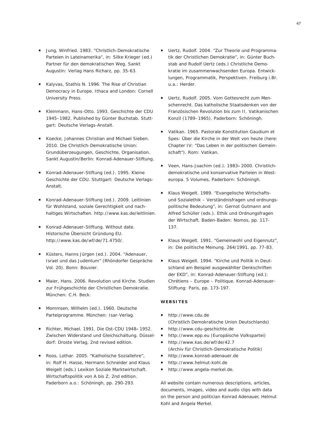- *Jung, Winfried. 1983. "Christlich-Demokratische Parteien in Lateinamerika", in: Silke Krieger (ed.) Partner für den demokratischen Weg. Sankt Augustin: Verlag Hans Richarz, pp. 35-63.*
- *Kalyvas, Stathis N. 1996. The Rise of Christian Democracy in Europe. Ithaca and London: Cornell University Press.*
- *Kleinmann, Hans-Otto. 1993. Geschichte der CDU 1945–1982. Published by Günter Buchstab. Stuttgart: Deutsche Verlags-Anstalt.*
- *Koecke, Johannes Christian and Michael Sieben. 2010. Die Christlich-Demokratische Union: Grundüberzeugungen, Geschichte, Organisation. Sankt Augustin/Berlin: Konrad-Adenauer-Stiftung.*
- *Konrad-Adenauer-Stiftung (ed.). 1995. Kleine Geschichte der CDU. Stuttgart: Deutsche Verlags-Anstalt.*
- *Konrad-Adenauer-Stiftung (ed.). 2009. Leitlinien für Wohlstand, soziale Gerechtigkeit und nachhaltiges Wirtschaften. http://www.kas.de/leitlinien.*
- *Konrad-Adenauer-Stiftung. Without date. Historische Übersicht Gründung EU. http://www.kas.de/wf/de/71.4750/.*
- *Küsters, Hanns Jürgen (ed.). 2004. "Adenauer, Israel und das Judentum" (Rhöndorfer Gespräche Vol. 20). Bonn: Bouvier.*
- *Maier, Hans. 2006. Revolution und Kirche. Studien zur Frühgeschichte der Christlichen Demokratie. München: C.H. Beck.*
- *Mommsen, Wilhelm (ed.). 1960. Deutsche Parteiprogramme. München: Isar-Verlag.*
- *Richter, Michael. 1991. Die Ost-CDU 1948***–***1952. Zwischen Widerstand und Gleichschaltung. Düsseldorf: Droste Verlag, 2nd revised edition.*
- *Roos, Lothar. 2005. "Katholische Soziallehre", in: Rolf H. Hasse, Hermann Schneider and Klaus Weigelt (eds.) Lexikon Soziale Marktwirtschaft. Wirtschaftspolitik von A bis Z. 2nd edition. Paderborn a.o.: Schöningh, pp. 290-293.*
- *Uertz, Rudolf. 2004. "Zur Theorie und Programmatik der Christlichen Demokratie", in: Günter Buchstab and Rudolf Uertz (eds.) Christliche Demokratie im zusammenwachsenden Europa. Entwicklungen, Programmatik, Perspektiven. Freiburg i.Br. u.a.: Herder.* ۳
- *Uertz, Rudolf. 2005. Vom Gottesrecht zum Menschenrecht. Das katholische Staatsdenken von der Französischen Revolution bis zum II. Vatikanischen Konzil (1789–1965). Paderborn: Schöningh.*  $\mathbf{r}$
- *Vatikan. 1965. Pastorale Konstitution Gaudium et Spes: Über die Kirche in der Welt von heute (here: Chapter IV: "Das Leben in der politischen Gemeinschaft"). Rom: Vatikan.*
- *Veen, Hans-Joachim (ed.). 1983***–***2000. Christlichdemokratische und konservative Parteien in Westeuropa. 5 Volumes, Paderborn: Schöningh.*  ۳
- *Klaus Weigelt. 1989. "Evangelische Wirtschaftsund Sozialethik – Verständnisfragen und ordnungspolitische Bedeutung", in: Gernot Gutmann and Alfred Schüller (eds.). Ethik und Ordnungsfragen der Wirtschaft. Baden-Baden: Nomos, pp. 117- 137.*  $\mathbf{r}$
- *Klaus Weigelt. 1991. "Gemeinwohl und Eigennutz", in: Die politische Meinung. 264/1991, pp. 77-83.*
- *Klaus Weigelt. 1994. "Kirche und Politik in Deutschland am Beispiel ausgewählter Denkschriften der EKD", in: Konrad-Adenauer-Stiftung (ed.): Chrétiens – Europe – Politique. Konrad-Adenauer-Stiftung: Paris, pp. 173-197.*  $\mathbf{u}$

#### **Websites**

- *http://www.cdu.de (Christlich Demokratische Union Deutschlands)*
- *http://www.cdu-geschichte.de* ۳
- *http://www.epp.eu (Europäische Volkspartei)*  $\mathbf{u}$  .
- *http://www.kas.de/wf/de/42.7 (Archiv für Christlich-Demokratische Politik)*
- *http://www.konrad-adenauer.de*  m.
- *http://www.helmut-kohl.de*  ۳
- *http://www.angela-merkel.de.*  $\blacksquare$

All website contain numerous descriptions, articles, documents, images, video and audio clips with data on the person and politician Konrad Adenauer, Helmut Kohl and Angela Merkel.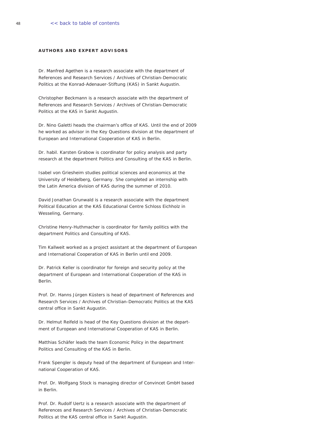#### <span id="page-45-0"></span>**Authors and Expert Advisors**

*Dr. Manfred Agethen is a research associate with the department of References and Research Services / Archives of Christian-Democratic Politics at the Konrad-Adenauer-Stiftung (KAS) in Sankt Augustin.*

*Christopher Beckmann is a research associate with the department of References and Research Services / Archives of Christian-Democratic Politics at the KAS in Sankt Augustin.*

*Dr. Nino Galetti heads the chairman's office of KAS. Until the end of 2009 he worked as advisor in the Key Questions division at the department of European and International Cooperation of KAS in Berlin.*

*Dr. habil. Karsten Grabow is coordinator for policy analysis and party research at the department Politics and Consulting of the KAS in Berlin.*

*Isabel von Griesheim studies political sciences and economics at the University of Heidelberg, Germany. She completed an internship with the Latin America division of KAS during the summer of 2010.* 

*David Jonathan Grunwald is a research associate with the department Political Education at the KAS Educational Centre Schloss Eichholz in Wesseling, Germany.*

*Christine Henry-Huthmacher is coordinator for family politics with the department Politics and Consulting of KAS.* 

*Tim Kallweit worked as a project assistant at the department of European and International Cooperation of KAS in Berlin until end 2009.*

*Dr. Patrick Keller is coordinator for foreign and security policy at the department of European and International Cooperation of the KAS in Berlin.*

*Prof. Dr. Hanns Jürgen Küsters is head of department of References and Research Services / Archives of Christian-Democratic Politics at the KAS central office in Sankt Augustin.*

*Dr. Helmut Reifeld is head of the Key Questions division at the department of European and International Cooperation of KAS in Berlin.*

*Matthias Schäfer leads the team Economic Policy in the department Politics and Consulting of the KAS in Berlin.*

*Frank Spengler is deputy head of the department of European and International Cooperation of KAS.*

*Prof. Dr. Wolfgang Stock is managing director of Convincet GmbH based in Berlin.*

*Prof. Dr. Rudolf Uertz is a research associate with the department of References and Research Services / Archives of Christian-Democratic Politics at the KAS central office in Sankt Augustin.*